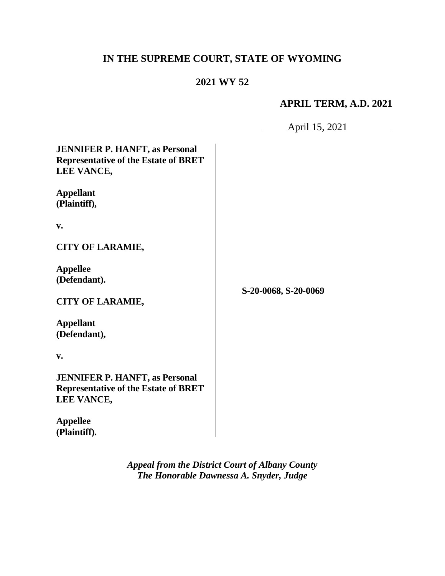# **IN THE SUPREME COURT, STATE OF WYOMING**

# **2021 WY 52**

# **APRIL TERM, A.D. 2021**

April 15, 2021

| <b>JENNIFER P. HANFT, as Personal</b><br><b>Representative of the Estate of BRET</b><br>LEE VANCE, |                      |
|----------------------------------------------------------------------------------------------------|----------------------|
| <b>Appellant</b><br>(Plaintiff),                                                                   |                      |
| v.                                                                                                 |                      |
| <b>CITY OF LARAMIE,</b>                                                                            |                      |
| <b>Appellee</b><br>(Defendant).                                                                    | S-20-0068, S-20-0069 |
| <b>CITY OF LARAMIE,</b>                                                                            |                      |
| <b>Appellant</b><br>(Defendant),                                                                   |                      |
| v.                                                                                                 |                      |
| <b>JENNIFER P. HANFT, as Personal</b><br><b>Representative of the Estate of BRET</b><br>LEE VANCE, |                      |
| <b>Appellee</b>                                                                                    |                      |

**(Plaintiff).**

*Appeal from the District Court of Albany County The Honorable Dawnessa A. Snyder, Judge* 

 $\overline{\phantom{a}}$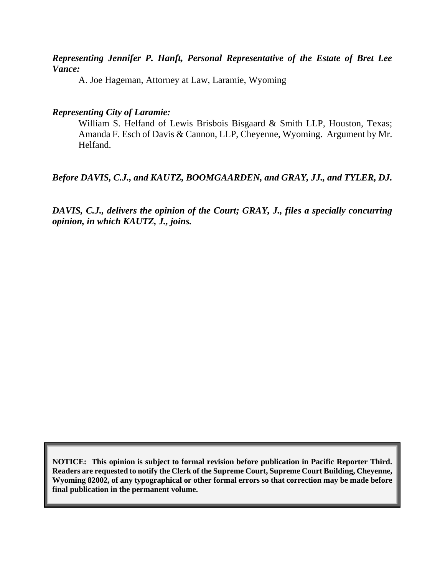#### *Representing Jennifer P. Hanft, Personal Representative of the Estate of Bret Lee Vance:*

A. Joe Hageman, Attorney at Law, Laramie, Wyoming

#### *Representing City of Laramie:*

William S. Helfand of Lewis Brisbois Bisgaard & Smith LLP, Houston, Texas; Amanda F. Esch of Davis & Cannon, LLP, Cheyenne, Wyoming. Argument by Mr. Helfand.

# *Before DAVIS, C.J., and KAUTZ, BOOMGAARDEN, and GRAY, JJ., and TYLER, DJ.*

*DAVIS, C.J., delivers the opinion of the Court; GRAY, J., files a specially concurring opinion, in which KAUTZ, J., joins.*

**NOTICE: This opinion is subject to formal revision before publication in Pacific Reporter Third. Readers are requested to notify the Clerk of the Supreme Court, Supreme Court Building, Cheyenne, Wyoming 82002, of any typographical or other formal errors so that correction may be made before final publication in the permanent volume.**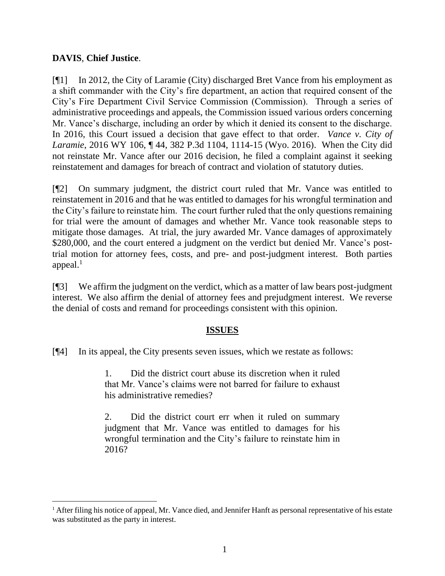### **DAVIS**, **Chief Justice**.

[¶1] In 2012, the City of Laramie (City) discharged Bret Vance from his employment as a shift commander with the City's fire department, an action that required consent of the City's Fire Department Civil Service Commission (Commission). Through a series of administrative proceedings and appeals, the Commission issued various orders concerning Mr. Vance's discharge, including an order by which it denied its consent to the discharge. In 2016, this Court issued a decision that gave effect to that order. *Vance v. City of Laramie*, 2016 WY 106, ¶ 44, 382 P.3d 1104, 1114-15 (Wyo. 2016). When the City did not reinstate Mr. Vance after our 2016 decision, he filed a complaint against it seeking reinstatement and damages for breach of contract and violation of statutory duties.

[¶2] On summary judgment, the district court ruled that Mr. Vance was entitled to reinstatement in 2016 and that he was entitled to damages for his wrongful termination and the City's failure to reinstate him. The court further ruled that the only questions remaining for trial were the amount of damages and whether Mr. Vance took reasonable steps to mitigate those damages. At trial, the jury awarded Mr. Vance damages of approximately \$280,000, and the court entered a judgment on the verdict but denied Mr. Vance's posttrial motion for attorney fees, costs, and pre- and post-judgment interest. Both parties appeal. $<sup>1</sup>$ </sup>

[¶3] We affirm the judgment on the verdict, which as a matter of law bears post-judgment interest. We also affirm the denial of attorney fees and prejudgment interest. We reverse the denial of costs and remand for proceedings consistent with this opinion.

#### **ISSUES**

[¶4] In its appeal, the City presents seven issues, which we restate as follows:

1. Did the district court abuse its discretion when it ruled that Mr. Vance's claims were not barred for failure to exhaust his administrative remedies?

2. Did the district court err when it ruled on summary judgment that Mr. Vance was entitled to damages for his wrongful termination and the City's failure to reinstate him in 2016?

<sup>&</sup>lt;sup>1</sup> After filing his notice of appeal, Mr. Vance died, and Jennifer Hanft as personal representative of his estate was substituted as the party in interest.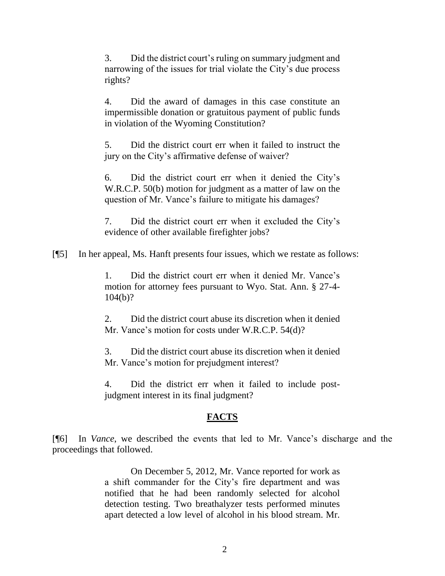3. Did the district court's ruling on summary judgment and narrowing of the issues for trial violate the City's due process rights?

4. Did the award of damages in this case constitute an impermissible donation or gratuitous payment of public funds in violation of the Wyoming Constitution?

5. Did the district court err when it failed to instruct the jury on the City's affirmative defense of waiver?

6. Did the district court err when it denied the City's W.R.C.P. 50(b) motion for judgment as a matter of law on the question of Mr. Vance's failure to mitigate his damages?

7. Did the district court err when it excluded the City's evidence of other available firefighter jobs?

[¶5] In her appeal, Ms. Hanft presents four issues, which we restate as follows:

1. Did the district court err when it denied Mr. Vance's motion for attorney fees pursuant to Wyo. Stat. Ann. § 27-4- 104(b)?

2. Did the district court abuse its discretion when it denied Mr. Vance's motion for costs under W.R.C.P. 54(d)?

3. Did the district court abuse its discretion when it denied Mr. Vance's motion for prejudgment interest?

4. Did the district err when it failed to include postjudgment interest in its final judgment?

# **FACTS**

[¶6] In *Vance*, we described the events that led to Mr. Vance's discharge and the proceedings that followed.

> On December 5, 2012, Mr. Vance reported for work as a shift commander for the City's fire department and was notified that he had been randomly selected for alcohol detection testing. Two breathalyzer tests performed minutes apart detected a low level of alcohol in his blood stream. Mr.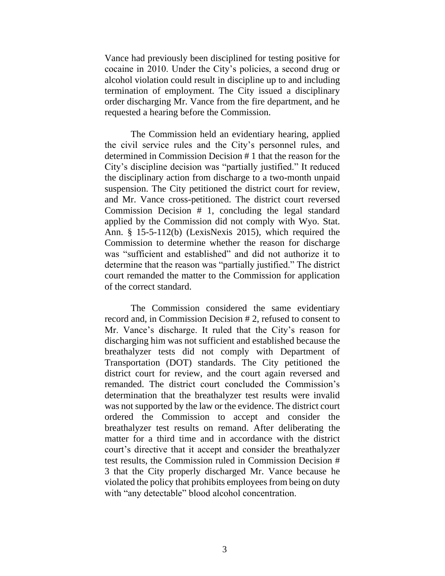Vance had previously been disciplined for testing positive for cocaine in 2010. Under the City's policies, a second drug or alcohol violation could result in discipline up to and including termination of employment. The City issued a disciplinary order discharging Mr. Vance from the fire department, and he requested a hearing before the Commission.

The Commission held an evidentiary hearing, applied the civil service rules and the City's personnel rules, and determined in Commission Decision # 1 that the reason for the City's discipline decision was "partially justified." It reduced the disciplinary action from discharge to a two-month unpaid suspension. The City petitioned the district court for review, and Mr. Vance cross-petitioned. The district court reversed Commission Decision # 1, concluding the legal standard applied by the Commission did not comply with [Wyo. Stat.](http://www.westlaw.com/Link/Document/FullText?findType=L&pubNum=1000377&cite=WYSTS15-5-112&originatingDoc=I2a3363f0a57011e6afc8be5a5c08bae9&refType=SP&originationContext=document&vr=3.0&rs=cblt1.0&transitionType=DocumentItem&contextData=(sc.Search)#co_pp_a83b000018c76)  [Ann. § 15-5-112\(b\)](http://www.westlaw.com/Link/Document/FullText?findType=L&pubNum=1000377&cite=WYSTS15-5-112&originatingDoc=I2a3363f0a57011e6afc8be5a5c08bae9&refType=SP&originationContext=document&vr=3.0&rs=cblt1.0&transitionType=DocumentItem&contextData=(sc.Search)#co_pp_a83b000018c76) (LexisNexis 2015), which required the Commission to determine whether the reason for discharge was "sufficient and established" and did not authorize it to determine that the reason was "partially justified." The district court remanded the matter to the Commission for application of the correct standard.

The Commission considered the same evidentiary record and, in Commission Decision # 2, refused to consent to Mr. Vance's discharge. It ruled that the City's reason for discharging him was not sufficient and established because the breathalyzer tests did not comply with Department of Transportation (DOT) standards. The City petitioned the district court for review, and the court again reversed and remanded. The district court concluded the Commission's determination that the breathalyzer test results were invalid was not supported by the law or the evidence. The district court ordered the Commission to accept and consider the breathalyzer test results on remand. After deliberating the matter for a third time and in accordance with the district court's directive that it accept and consider the breathalyzer test results, the Commission ruled in Commission Decision # 3 that the City properly discharged Mr. Vance because he violated the policy that prohibits employees from being on duty with "any detectable" blood alcohol concentration.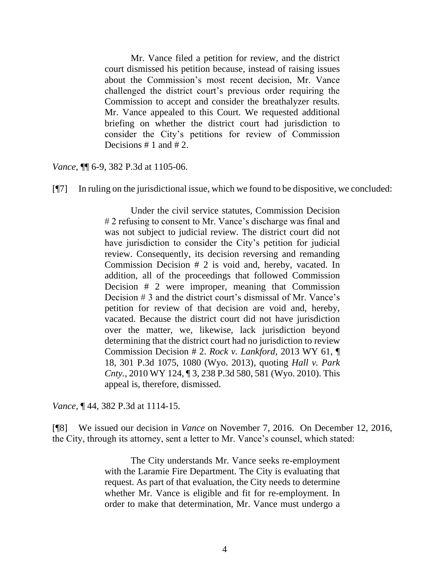Mr. Vance filed a petition for review, and the district court dismissed his petition because, instead of raising issues about the Commission's most recent decision, Mr. Vance challenged the district court's previous order requiring the Commission to accept and consider the breathalyzer results. Mr. Vance appealed to this Court. We requested additional briefing on whether the district court had jurisdiction to consider the City's petitions for review of Commission Decisions # 1 and # 2.

*Vance*, **[1]** 6-9, 382 P.3d at 1105-06.

 $[$ [ $\degree$ ] In ruling on the jurisdictional issue, which we found to be dispositive, we concluded:

Under the civil service statutes, Commission Decision # 2 refusing to consent to Mr. Vance's discharge was final and was not subject to judicial review. The district court did not have jurisdiction to consider the City's petition for judicial review. Consequently, its decision reversing and remanding Commission Decision # 2 is void and, hereby, vacated. In addition, all of the proceedings that followed Commission Decision # 2 were improper, meaning that Commission Decision # 3 and the district court's dismissal of Mr. Vance's petition for review of that decision are void and, hereby, vacated. Because the district court did not have jurisdiction over the matter, we, likewise, lack jurisdiction beyond determining that the district court had no jurisdiction to review Commission Decision # 2. *Rock v. Lankford*[, 2013 WY 61, ¶](http://www.westlaw.com/Link/Document/FullText?findType=Y&serNum=2030563103&pubNum=0004645&originatingDoc=I2a3363f0a57011e6afc8be5a5c08bae9&refType=RP&fi=co_pp_sp_4645_1080&originationContext=document&vr=3.0&rs=cblt1.0&transitionType=DocumentItem&contextData=(sc.Search)#co_pp_sp_4645_1080)  [18, 301 P.3d 1075, 1080 \(Wyo. 2013\),](http://www.westlaw.com/Link/Document/FullText?findType=Y&serNum=2030563103&pubNum=0004645&originatingDoc=I2a3363f0a57011e6afc8be5a5c08bae9&refType=RP&fi=co_pp_sp_4645_1080&originationContext=document&vr=3.0&rs=cblt1.0&transitionType=DocumentItem&contextData=(sc.Search)#co_pp_sp_4645_1080) quoting *[Hall v. Park](http://www.westlaw.com/Link/Document/FullText?findType=Y&serNum=2022918044&pubNum=0004645&originatingDoc=I2a3363f0a57011e6afc8be5a5c08bae9&refType=RP&fi=co_pp_sp_4645_581&originationContext=document&vr=3.0&rs=cblt1.0&transitionType=DocumentItem&contextData=(sc.Search)#co_pp_sp_4645_581)  Cnty.*[, 2010 WY 124, ¶ 3, 238 P.3d 580, 581 \(Wyo. 2010\).](http://www.westlaw.com/Link/Document/FullText?findType=Y&serNum=2022918044&pubNum=0004645&originatingDoc=I2a3363f0a57011e6afc8be5a5c08bae9&refType=RP&fi=co_pp_sp_4645_581&originationContext=document&vr=3.0&rs=cblt1.0&transitionType=DocumentItem&contextData=(sc.Search)#co_pp_sp_4645_581) This appeal is, therefore, dismissed.

*Vance*, ¶ 44, 382 P.3d at 1114-15.

[¶8] We issued our decision in *Vance* on November 7, 2016. On December 12, 2016, the City, through its attorney, sent a letter to Mr. Vance's counsel, which stated:

> The City understands Mr. Vance seeks re-employment with the Laramie Fire Department. The City is evaluating that request. As part of that evaluation, the City needs to determine whether Mr. Vance is eligible and fit for re-employment. In order to make that determination, Mr. Vance must undergo a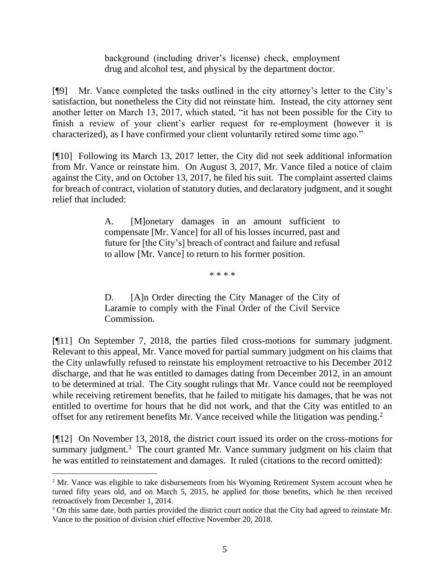background (including driver's license) check, employment drug and alcohol test, and physical by the department doctor.

[¶9] Mr. Vance completed the tasks outlined in the city attorney's letter to the City's satisfaction, but nonetheless the City did not reinstate him. Instead, the city attorney sent another letter on March 13, 2017, which stated, "it has not been possible for the City to finish a review of your client's earlier request for re-employment (however it is characterized), as I have confirmed your client voluntarily retired some time ago."

[¶10] Following its March 13, 2017 letter, the City did not seek additional information from Mr. Vance or reinstate him. On August 3, 2017, Mr. Vance filed a notice of claim against the City, and on October 13, 2017, he filed his suit. The complaint asserted claims for breach of contract, violation of statutory duties, and declaratory judgment, and it sought relief that included:

> A. [M]onetary damages in an amount sufficient to compensate [Mr. Vance] for all of his losses incurred, past and future for [the City's] breach of contract and failure and refusal to allow [Mr. Vance] to return to his former position.

> > \* \* \* \*

D. [A]n Order directing the City Manager of the City of Laramie to comply with the Final Order of the Civil Service Commission.

[¶11] On September 7, 2018, the parties filed cross-motions for summary judgment. Relevant to this appeal, Mr. Vance moved for partial summary judgment on his claims that the City unlawfully refused to reinstate his employment retroactive to his December 2012 discharge, and that he was entitled to damages dating from December 2012, in an amount to be determined at trial. The City sought rulings that Mr. Vance could not be reemployed while receiving retirement benefits, that he failed to mitigate his damages, that he was not entitled to overtime for hours that he did not work, and that the City was entitled to an offset for any retirement benefits Mr. Vance received while the litigation was pending.<sup>2</sup>

[¶12] On November 13, 2018, the district court issued its order on the cross-motions for summary judgment.<sup>3</sup> The court granted Mr. Vance summary judgment on his claim that he was entitled to reinstatement and damages. It ruled (citations to the record omitted):

<sup>&</sup>lt;sup>2</sup> Mr. Vance was eligible to take disbursements from his Wyoming Retirement System account when he turned fifty years old, and on March 5, 2015, he applied for those benefits, which he then received retroactively from December 1, 2014.

<sup>&</sup>lt;sup>3</sup> On this same date, both parties provided the district court notice that the City had agreed to reinstate Mr. Vance to the position of division chief effective November 20, 2018.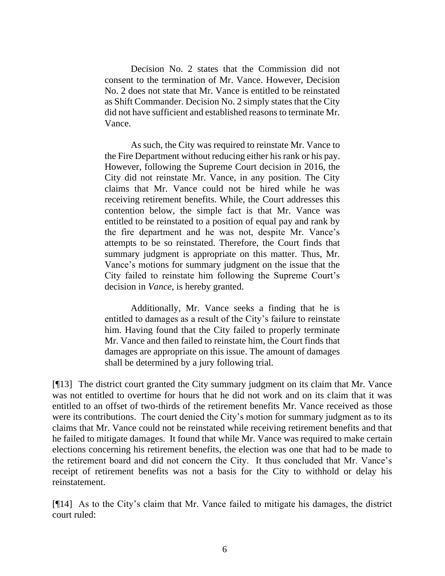Decision No. 2 states that the Commission did not consent to the termination of Mr. Vance. However, Decision No. 2 does not state that Mr. Vance is entitled to be reinstated as Shift Commander. Decision No. 2 simply states that the City did not have sufficient and established reasons to terminate Mr. Vance.

As such, the City was required to reinstate Mr. Vance to the Fire Department without reducing either his rank or his pay. However, following the Supreme Court decision in 2016, the City did not reinstate Mr. Vance, in any position. The City claims that Mr. Vance could not be hired while he was receiving retirement benefits. While, the Court addresses this contention below, the simple fact is that Mr. Vance was entitled to be reinstated to a position of equal pay and rank by the fire department and he was not, despite Mr. Vance's attempts to be so reinstated. Therefore, the Court finds that summary judgment is appropriate on this matter. Thus, Mr. Vance's motions for summary judgment on the issue that the City failed to reinstate him following the Supreme Court's decision in *Vance*, is hereby granted.

Additionally, Mr. Vance seeks a finding that he is entitled to damages as a result of the City's failure to reinstate him. Having found that the City failed to properly terminate Mr. Vance and then failed to reinstate him, the Court finds that damages are appropriate on this issue. The amount of damages shall be determined by a jury following trial.

[¶13] The district court granted the City summary judgment on its claim that Mr. Vance was not entitled to overtime for hours that he did not work and on its claim that it was entitled to an offset of two-thirds of the retirement benefits Mr. Vance received as those were its contributions. The court denied the City's motion for summary judgment as to its claims that Mr. Vance could not be reinstated while receiving retirement benefits and that he failed to mitigate damages. It found that while Mr. Vance was required to make certain elections concerning his retirement benefits, the election was one that had to be made to the retirement board and did not concern the City. It thus concluded that Mr. Vance's receipt of retirement benefits was not a basis for the City to withhold or delay his reinstatement.

[¶14] As to the City's claim that Mr. Vance failed to mitigate his damages, the district court ruled: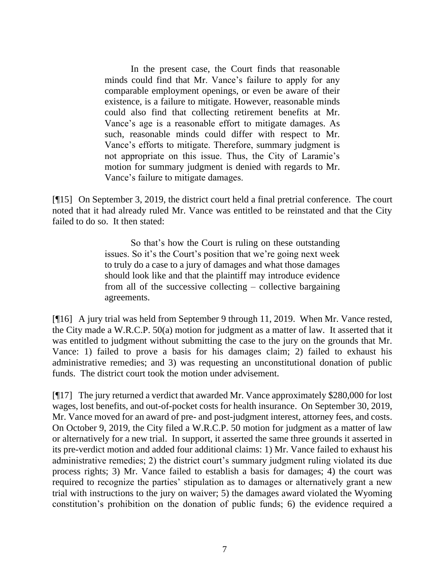In the present case, the Court finds that reasonable minds could find that Mr. Vance's failure to apply for any comparable employment openings, or even be aware of their existence, is a failure to mitigate. However, reasonable minds could also find that collecting retirement benefits at Mr. Vance's age is a reasonable effort to mitigate damages. As such, reasonable minds could differ with respect to Mr. Vance's efforts to mitigate. Therefore, summary judgment is not appropriate on this issue. Thus, the City of Laramie's motion for summary judgment is denied with regards to Mr. Vance's failure to mitigate damages.

[¶15] On September 3, 2019, the district court held a final pretrial conference. The court noted that it had already ruled Mr. Vance was entitled to be reinstated and that the City failed to do so. It then stated:

> So that's how the Court is ruling on these outstanding issues. So it's the Court's position that we're going next week to truly do a case to a jury of damages and what those damages should look like and that the plaintiff may introduce evidence from all of the successive collecting – collective bargaining agreements.

[¶16] A jury trial was held from September 9 through 11, 2019. When Mr. Vance rested, the City made a W.R.C.P. 50(a) motion for judgment as a matter of law. It asserted that it was entitled to judgment without submitting the case to the jury on the grounds that Mr. Vance: 1) failed to prove a basis for his damages claim; 2) failed to exhaust his administrative remedies; and 3) was requesting an unconstitutional donation of public funds. The district court took the motion under advisement.

[¶17] The jury returned a verdict that awarded Mr. Vance approximately \$280,000 for lost wages, lost benefits, and out-of-pocket costs for health insurance. On September 30, 2019, Mr. Vance moved for an award of pre- and post-judgment interest, attorney fees, and costs. On October 9, 2019, the City filed a W.R.C.P. 50 motion for judgment as a matter of law or alternatively for a new trial. In support, it asserted the same three grounds it asserted in its pre-verdict motion and added four additional claims: 1) Mr. Vance failed to exhaust his administrative remedies; 2) the district court's summary judgment ruling violated its due process rights; 3) Mr. Vance failed to establish a basis for damages; 4) the court was required to recognize the parties' stipulation as to damages or alternatively grant a new trial with instructions to the jury on waiver; 5) the damages award violated the Wyoming constitution's prohibition on the donation of public funds; 6) the evidence required a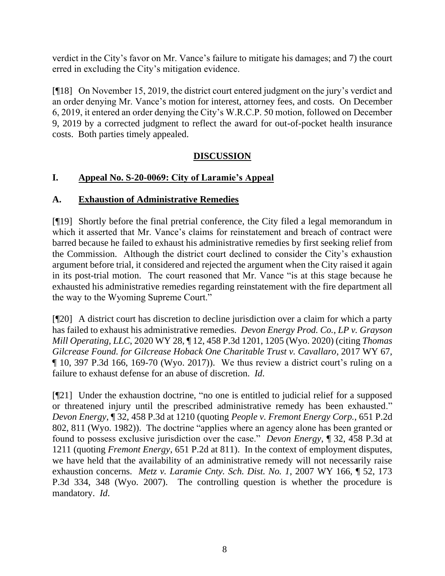verdict in the City's favor on Mr. Vance's failure to mitigate his damages; and 7) the court erred in excluding the City's mitigation evidence.

[¶18] On November 15, 2019, the district court entered judgment on the jury's verdict and an order denying Mr. Vance's motion for interest, attorney fees, and costs. On December 6, 2019, it entered an order denying the City's W.R.C.P. 50 motion, followed on December 9, 2019 by a corrected judgment to reflect the award for out-of-pocket health insurance costs. Both parties timely appealed.

# **DISCUSSION**

# **I. Appeal No. S-20-0069: City of Laramie's Appeal**

# **A. Exhaustion of Administrative Remedies**

[¶19] Shortly before the final pretrial conference, the City filed a legal memorandum in which it asserted that Mr. Vance's claims for reinstatement and breach of contract were barred because he failed to exhaust his administrative remedies by first seeking relief from the Commission. Although the district court declined to consider the City's exhaustion argument before trial, it considered and rejected the argument when the City raised it again in its post-trial motion. The court reasoned that Mr. Vance "is at this stage because he exhausted his administrative remedies regarding reinstatement with the fire department all the way to the Wyoming Supreme Court."

[¶20] A district court has discretion to decline jurisdiction over a claim for which a party has failed to exhaust his administrative remedies. *Devon Energy Prod. Co., LP v. Grayson Mill Operating, LLC*, 2020 WY 28, ¶ 12, 458 P.3d 1201, 1205 (Wyo. 2020) (citing *[Thomas](http://www.westlaw.com/Link/Document/FullText?findType=Y&serNum=2041823779&pubNum=0004645&originatingDoc=I1b42518059c211ea851bfabee22f40c8&refType=RP&fi=co_pp_sp_4645_169&originationContext=document&vr=3.0&rs=cblt1.0&transitionType=DocumentItem&contextData=(sc.UserEnteredCitation)#co_pp_sp_4645_169)  [Gilcrease Found. for Gilcrease Hoback One Charitable Trust v. Cavallaro](http://www.westlaw.com/Link/Document/FullText?findType=Y&serNum=2041823779&pubNum=0004645&originatingDoc=I1b42518059c211ea851bfabee22f40c8&refType=RP&fi=co_pp_sp_4645_169&originationContext=document&vr=3.0&rs=cblt1.0&transitionType=DocumentItem&contextData=(sc.UserEnteredCitation)#co_pp_sp_4645_169)*, 2017 WY 67, [¶ 10, 397 P.3d 166, 169-70 \(Wyo. 2017\)\)](http://www.westlaw.com/Link/Document/FullText?findType=Y&serNum=2041823779&pubNum=0004645&originatingDoc=I1b42518059c211ea851bfabee22f40c8&refType=RP&fi=co_pp_sp_4645_169&originationContext=document&vr=3.0&rs=cblt1.0&transitionType=DocumentItem&contextData=(sc.UserEnteredCitation)#co_pp_sp_4645_169). We thus review a district court's ruling on a failure to exhaust defense for an abuse of discretion. *Id*.

[¶21] Under the exhaustion doctrine, "no one is entitled to judicial relief for a supposed or threatened injury until the prescribed administrative remedy has been exhausted." *Devon Energy*, ¶ 32, 458 P.3d at 1210 (quoting *[People v. Fremont Energy Corp.](http://www.westlaw.com/Link/Document/FullText?findType=Y&serNum=1982142882&pubNum=0000661&originatingDoc=I1b42518059c211ea851bfabee22f40c8&refType=RP&fi=co_pp_sp_661_811&originationContext=document&vr=3.0&rs=cblt1.0&transitionType=DocumentItem&contextData=(sc.UserEnteredCitation)#co_pp_sp_661_811)*, 651 P.2d [802, 811 \(Wyo. 1982\)\)](http://www.westlaw.com/Link/Document/FullText?findType=Y&serNum=1982142882&pubNum=0000661&originatingDoc=I1b42518059c211ea851bfabee22f40c8&refType=RP&fi=co_pp_sp_661_811&originationContext=document&vr=3.0&rs=cblt1.0&transitionType=DocumentItem&contextData=(sc.UserEnteredCitation)#co_pp_sp_661_811). The doctrine "applies where an agency alone has been granted or found to possess exclusive jurisdiction over the case." *Devon Energy*, ¶ 32, 458 P.3d at 1211 (quoting *Fremont Energy*, 651 P.2d at 811). In the context of employment disputes, we have held that the availability of an administrative remedy will not necessarily raise exhaustion concerns. *Metz v. Laramie Cnty. Sch. Dist. No. 1*, 2007 WY 166, ¶ 52, 173 P.3d 334, 348 (Wyo. 2007). The controlling question is whether the procedure is mandatory. *Id*.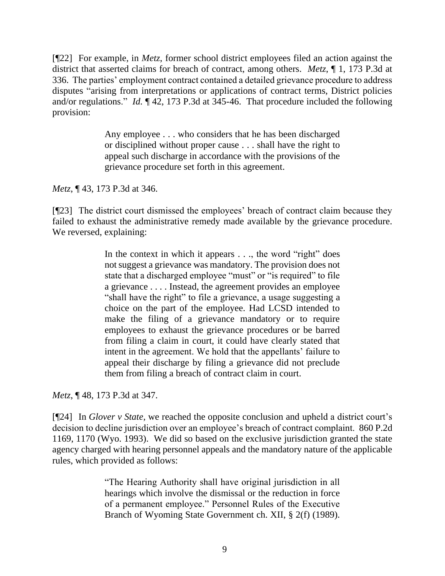[¶22] For example, in *Metz*, former school district employees filed an action against the district that asserted claims for breach of contract, among others. *Metz*, ¶ 1, 173 P.3d at 336. The parties' employment contract contained a detailed grievance procedure to address disputes "arising from interpretations or applications of contract terms, District policies and/or regulations." *Id.* ¶ 42, 173 P.3d at 345-46. That procedure included the following provision:

> Any employee . . . who considers that he has been discharged or disciplined without proper cause . . . shall have the right to appeal such discharge in accordance with the provisions of the grievance procedure set forth in this agreement.

*Metz*, ¶ 43, 173 P.3d at 346.

[¶23] The district court dismissed the employees' breach of contract claim because they failed to exhaust the administrative remedy made available by the grievance procedure. We reversed, explaining:

> In the context in which it appears . . ., the word "right" does not suggest a grievance was mandatory. The provision does not state that a discharged employee "must" or "is required" to file a grievance . . . . Instead, the agreement provides an employee "shall have the right" to file a grievance, a usage suggesting a choice on the part of the employee. Had LCSD intended to make the filing of a grievance mandatory or to require employees to exhaust the grievance procedures or be barred from filing a claim in court, it could have clearly stated that intent in the agreement. We hold that the appellants' failure to appeal their discharge by filing a grievance did not preclude them from filing a breach of contract claim in court.

*Metz*, ¶ 48, 173 P.3d at 347.

[¶24] In *Glover v State*[, we reached the opposite conclusion and](http://www.westlaw.com/Link/Document/FullText?findType=Y&serNum=1993196391&pubNum=0000661&originatingDoc=Iaa2d9f51814711dcab5dc95700b89bde&refType=RP&fi=co_pp_sp_661_1171&originationContext=document&vr=3.0&rs=cblt1.0&transitionType=DocumentItem&contextData=(sc.UserEnteredCitation)#co_pp_sp_661_1171) upheld a district court's [decision to decline jurisdiction over an employee's breach of contract complaint.](http://www.westlaw.com/Link/Document/FullText?findType=Y&serNum=1993196391&pubNum=0000661&originatingDoc=Iaa2d9f51814711dcab5dc95700b89bde&refType=RP&fi=co_pp_sp_661_1171&originationContext=document&vr=3.0&rs=cblt1.0&transitionType=DocumentItem&contextData=(sc.UserEnteredCitation)#co_pp_sp_661_1171) 860 P.2d [1169, 1170](http://www.westlaw.com/Link/Document/FullText?findType=Y&serNum=1993196391&pubNum=0000661&originatingDoc=Iaa2d9f51814711dcab5dc95700b89bde&refType=RP&fi=co_pp_sp_661_1171&originationContext=document&vr=3.0&rs=cblt1.0&transitionType=DocumentItem&contextData=(sc.UserEnteredCitation)#co_pp_sp_661_1171) (Wyo. 1993). We did so based on the exclusive jurisdiction granted the state agency charged with hearing personnel appeals and the mandatory nature of the applicable rules, which provided as follows:

> "The Hearing Authority shall have original jurisdiction in all hearings which involve the dismissal or the reduction in force of a permanent employee." Personnel Rules of the Executive Branch of Wyoming State Government ch. XII, § 2(f) (1989).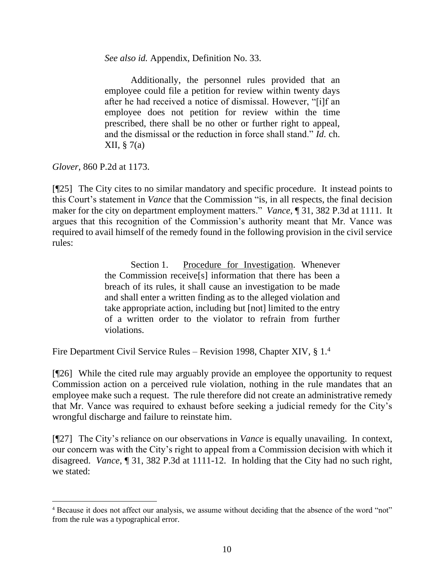*See also id.* Appendix, Definition No. 33.

Additionally, the personnel rules provided that an employee could file a petition for review within twenty days after he had received a notice of dismissal. However, "[i]f an employee does not petition for review within the time prescribed, there shall be no other or further right to appeal, and the dismissal or the reduction in force shall stand." *Id.* ch. XII, § 7(a)

*Glover*, 860 P.2d at 1173.

[¶25] The City cites to no similar mandatory and specific procedure. It instead points to this Court's statement in *Vance* that the Commission "is, in all respects, the final decision maker for the city on department employment matters." *Vance*, ¶ 31, 382 P.3d at 1111. It argues that this recognition of the Commission's authority meant that Mr. Vance was required to avail himself of the remedy found in the following provision in the civil service rules:

> Section 1. Procedure for Investigation. Whenever the Commission receive[s] information that there has been a breach of its rules, it shall cause an investigation to be made and shall enter a written finding as to the alleged violation and take appropriate action, including but [not] limited to the entry of a written order to the violator to refrain from further violations.

Fire Department Civil Service Rules – Revision 1998, Chapter XIV, § 1.<sup>4</sup>

[¶26] While the cited rule may arguably provide an employee the opportunity to request Commission action on a perceived rule violation, nothing in the rule mandates that an employee make such a request. The rule therefore did not create an administrative remedy that Mr. Vance was required to exhaust before seeking a judicial remedy for the City's wrongful discharge and failure to reinstate him.

[¶27] The City's reliance on our observations in *Vance* is equally unavailing. In context, our concern was with the City's right to appeal from a Commission decision with which it disagreed. *Vance*, ¶ 31, 382 P.3d at 1111-12. In holding that the City had no such right, we stated:

<sup>4</sup> Because it does not affect our analysis, we assume without deciding that the absence of the word "not" from the rule was a typographical error.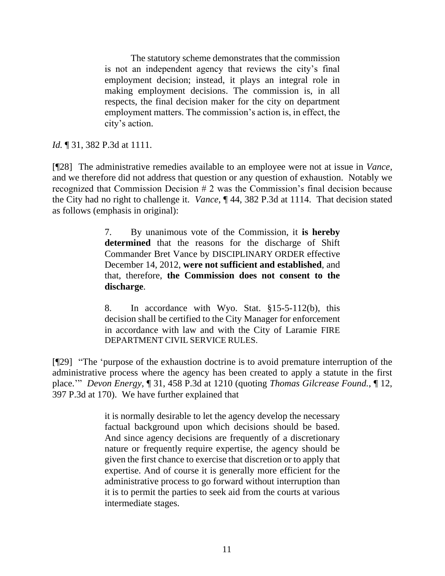The statutory scheme demonstrates that the commission is not an independent agency that reviews the city's final employment decision; instead, it plays an integral role in making employment decisions. The commission is, in all respects, the final decision maker for the city on department employment matters. The commission's action is, in effect, the city's action.

*Id.* 131, 382 P.3d at 1111.

[¶28] The administrative remedies available to an employee were not at issue in *Vance*, and we therefore did not address that question or any question of exhaustion. Notably we recognized that Commission Decision  $# 2$  was the Commission's final decision because the City had no right to challenge it. *Vance*, ¶ 44, 382 P.3d at 1114. That decision stated as follows (emphasis in original):

> 7. By unanimous vote of the Commission, it **is hereby determined** that the reasons for the discharge of Shift Commander Bret Vance by DISCIPLINARY ORDER effective December 14, 2012, **were not sufficient and established**, and that, therefore, **the Commission does not consent to the discharge**.

> 8. In accordance with Wyo. Stat. §15-5-112(b), this decision shall be certified to the City Manager for enforcement in accordance with law and with the City of Laramie FIRE DEPARTMENT CIVIL SERVICE RULES.

[¶29] "The 'purpose of the exhaustion doctrine is to avoid premature interruption of the administrative process where the agency has been created to apply a statute in the first place.'" *Devon Energy*, ¶ 31, 458 P.3d at 1210 (quoting *Thomas Gilcrease Found.*, ¶ 12, 397 P.3d at 170). We have further explained that

> it is normally desirable to let the agency develop the necessary factual background upon which decisions should be based. And since agency decisions are frequently of a discretionary nature or frequently require expertise, the agency should be given the first chance to exercise that discretion or to apply that expertise. And of course it is generally more efficient for the administrative process to go forward without interruption than it is to permit the parties to seek aid from the courts at various intermediate stages.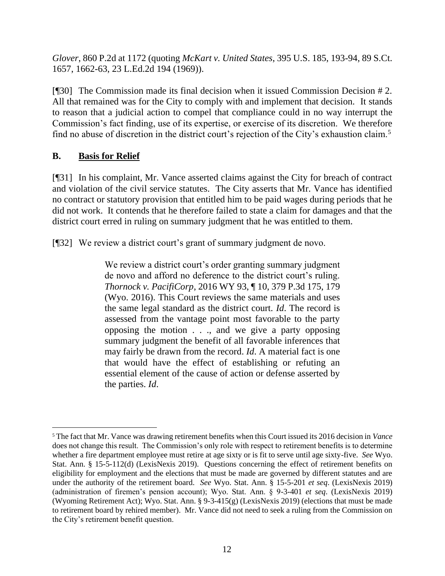*Glover*, 860 P.2d at 1172 (quoting *McKart v. United States*, 395 U.S. 185, 193-94, 89 S.Ct. 1657, 1662-63, 23 L.Ed.2d 194 (1969)).

[¶30] The Commission made its final decision when it issued Commission Decision # 2. All that remained was for the City to comply with and implement that decision. It stands to reason that a judicial action to compel that compliance could in no way interrupt the Commission's fact finding, use of its expertise, or exercise of its discretion. We therefore find no abuse of discretion in the district court's rejection of the City's exhaustion claim.<sup>5</sup>

# **B. Basis for Relief**

[¶31] In his complaint, Mr. Vance asserted claims against the City for breach of contract and violation of the civil service statutes. The City asserts that Mr. Vance has identified no contract or statutory provision that entitled him to be paid wages during periods that he did not work. It contends that he therefore failed to state a claim for damages and that the district court erred in ruling on summary judgment that he was entitled to them.

[¶32] We review a district court's grant of summary judgment de novo.

We review a district court's order granting summary judgment de novo and afford no deference to the district court's ruling. *Thornock v. PacifiCorp*[, 2016 WY 93, ¶ 10, 379 P.3d 175, 179](http://www.westlaw.com/Link/Document/FullText?findType=Y&serNum=2039785923&pubNum=0004645&originatingDoc=I74df7050208d11ebaf4a97db80ef4b04&refType=RP&fi=co_pp_sp_4645_179&originationContext=document&vr=3.0&rs=cblt1.0&transitionType=DocumentItem&contextData=(sc.Search)#co_pp_sp_4645_179)  [\(Wyo. 2016\).](http://www.westlaw.com/Link/Document/FullText?findType=Y&serNum=2039785923&pubNum=0004645&originatingDoc=I74df7050208d11ebaf4a97db80ef4b04&refType=RP&fi=co_pp_sp_4645_179&originationContext=document&vr=3.0&rs=cblt1.0&transitionType=DocumentItem&contextData=(sc.Search)#co_pp_sp_4645_179) This Court reviews the same materials and uses the same legal standard as the district court. *[Id](http://www.westlaw.com/Link/Document/FullText?findType=Y&serNum=2039785923&pubNum=0006431&originatingDoc=I74df7050208d11ebaf4a97db80ef4b04&refType=RP&originationContext=document&vr=3.0&rs=cblt1.0&transitionType=DocumentItem&contextData=(sc.Search))*. The record is assessed from the vantage point most favorable to the party opposing the motion . . ., and we give a party opposing summary judgment the benefit of all favorable inferences that may fairly be drawn from the record. *[Id](http://www.westlaw.com/Link/Document/FullText?findType=Y&serNum=2039785923&pubNum=0006431&originatingDoc=I74df7050208d11ebaf4a97db80ef4b04&refType=RP&originationContext=document&vr=3.0&rs=cblt1.0&transitionType=DocumentItem&contextData=(sc.Search))*. A material fact is one that would have the effect of establishing or refuting an essential element of the cause of action or defense asserted by the parties. *[Id](http://www.westlaw.com/Link/Document/FullText?findType=Y&serNum=2039785923&pubNum=0006431&originatingDoc=I74df7050208d11ebaf4a97db80ef4b04&refType=RP&originationContext=document&vr=3.0&rs=cblt1.0&transitionType=DocumentItem&contextData=(sc.Search))*.

<sup>5</sup> The fact that Mr. Vance was drawing retirement benefits when this Court issued its 2016 decision in *Vance* does not change this result. The Commission's only role with respect to retirement benefits is to determine whether a fire department employee must retire at age sixty or is fit to serve until age sixty-five. *See* Wyo. Stat. Ann. § 15-5-112(d) (LexisNexis 2019). Questions concerning the effect of retirement benefits on eligibility for employment and the elections that must be made are governed by different statutes and are under the authority of the retirement board. *See* Wyo. Stat. Ann. § 15-5-201 *et seq*. (LexisNexis 2019) (administration of firemen's pension account); Wyo. Stat. Ann. § 9-3-401 *et seq*. (LexisNexis 2019) (Wyoming Retirement Act); Wyo. Stat. Ann. § 9-3-415(g) (LexisNexis 2019) (elections that must be made to retirement board by rehired member). Mr. Vance did not need to seek a ruling from the Commission on the City's retirement benefit question.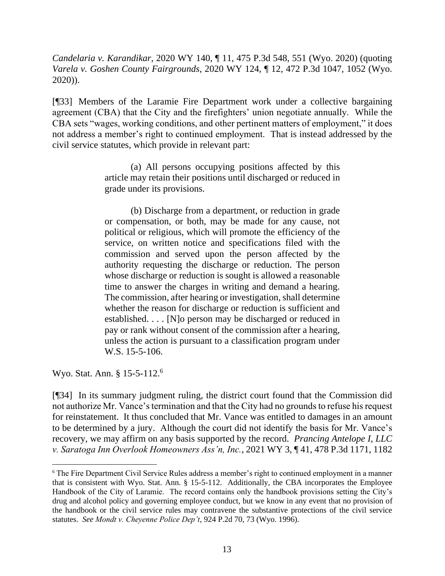*Candelaria v. Karandikar*, 2020 WY 140, ¶ 11, 475 P.3d 548, 551 (Wyo. 2020) (quoting *Varela v. Goshen County Fairgrounds*[, 2020 WY 124, ¶ 12, 472 P.3d 1047, 1052 \(Wyo.](http://www.westlaw.com/Link/Document/FullText?findType=Y&serNum=2051923860&pubNum=0004645&originatingDoc=I74df7050208d11ebaf4a97db80ef4b04&refType=RP&fi=co_pp_sp_4645_1052&originationContext=document&vr=3.0&rs=cblt1.0&transitionType=DocumentItem&contextData=(sc.Search)#co_pp_sp_4645_1052) [2020\)\)](http://www.westlaw.com/Link/Document/FullText?findType=Y&serNum=2051923860&pubNum=0004645&originatingDoc=I74df7050208d11ebaf4a97db80ef4b04&refType=RP&fi=co_pp_sp_4645_1052&originationContext=document&vr=3.0&rs=cblt1.0&transitionType=DocumentItem&contextData=(sc.Search)#co_pp_sp_4645_1052).

[¶33] Members of the Laramie Fire Department work under a collective bargaining agreement (CBA) that the City and the firefighters' union negotiate annually. While the CBA sets "wages, working conditions, and other pertinent matters of employment," it does not address a member's right to continued employment. That is instead addressed by the civil service statutes, which provide in relevant part:

> (a) All persons occupying positions affected by this article may retain their positions until discharged or reduced in grade under its provisions.

> (b) Discharge from a department, or reduction in grade or compensation, or both, may be made for any cause, not political or religious, which will promote the efficiency of the service, on written notice and specifications filed with the commission and served upon the person affected by the authority requesting the discharge or reduction. The person whose discharge or reduction is sought is allowed a reasonable time to answer the charges in writing and demand a hearing. The commission, after hearing or investigation, shall determine whether the reason for discharge or reduction is sufficient and established. . . . [N]o person may be discharged or reduced in pay or rank without consent of the commission after a hearing, unless the action is pursuant to a classification program under [W.S. 15-5-106.](http://www.westlaw.com/Link/Document/FullText?findType=L&pubNum=1000377&cite=WYSTS15-5-106&originatingDoc=N6143DF40131211DDB8F5DD96DFD6F109&refType=LQ&originationContext=document&vr=3.0&rs=cblt1.0&transitionType=DocumentItem&contextData=(sc.UserEnteredCitation))

Wyo. Stat. Ann. § 15-5-112.<sup>6</sup>

[¶34] In its summary judgment ruling, the district court found that the Commission did not authorize Mr. Vance's termination and that the City had no grounds to refuse his request for reinstatement. It thus concluded that Mr. Vance was entitled to damages in an amount to be determined by a jury. Although the court did not identify the basis for Mr. Vance's recovery, we may affirm on any basis supported by the record. *Prancing Antelope I, LLC v. Saratoga Inn Overlook Homeowners Ass'n, Inc.*, 2021 WY 3, ¶ 41, 478 P.3d 1171, 1182

<sup>6</sup> The Fire Department Civil Service Rules address a member's right to continued employment in a manner that is consistent with Wyo. Stat. Ann. § 15-5-112. Additionally, the CBA incorporates the Employee Handbook of the City of Laramie. The record contains only the handbook provisions setting the City's drug and alcohol policy and governing employee conduct, but we know in any event that no provision of the handbook or the civil service rules may contravene the substantive protections of the civil service statutes. *See Mondt v. Cheyenne Police Dep't*, 924 P.2d 70, 73 (Wyo. 1996).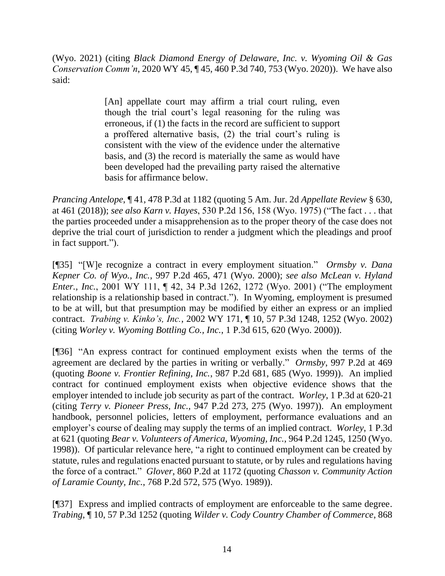(Wyo. 2021) (citing *[Black Diamond Energy of Delaware, Inc. v. Wyoming Oil & Gas](http://www.westlaw.com/Link/Document/FullText?findType=Y&serNum=2050700733&pubNum=0004645&originatingDoc=I44616710513611eb94d5d4e51cfa3c85&refType=RP&fi=co_pp_sp_4645_753&originationContext=document&vr=3.0&rs=cblt1.0&transitionType=DocumentItem&contextData=(sc.UserEnteredCitation)#co_pp_sp_4645_753)  Conservation Comm'n*[, 2020 WY 45, ¶ 45, 460 P.3d 740, 753 \(Wyo. 2020\)\)](http://www.westlaw.com/Link/Document/FullText?findType=Y&serNum=2050700733&pubNum=0004645&originatingDoc=I44616710513611eb94d5d4e51cfa3c85&refType=RP&fi=co_pp_sp_4645_753&originationContext=document&vr=3.0&rs=cblt1.0&transitionType=DocumentItem&contextData=(sc.UserEnteredCitation)#co_pp_sp_4645_753). We have also said:

> [An] appellate court may affirm a trial court ruling, even though the trial court's legal reasoning for the ruling was erroneous, if (1) the facts in the record are sufficient to support a proffered alternative basis, (2) the trial court's ruling is consistent with the view of the evidence under the alternative basis, and (3) the record is materially the same as would have been developed had the prevailing party raised the alternative basis for affirmance below.

*Prancing Antelope*, ¶ 41, 478 P.3d at 1182 (quoting 5 Am. Jur. 2d *[Appellate Review](http://www.westlaw.com/Link/Document/FullText?findType=Y&serNum=0107353019&pubNum=0113301&originatingDoc=I44616710513611eb94d5d4e51cfa3c85&refType=TS&originationContext=document&vr=3.0&rs=cblt1.0&transitionType=DocumentItem&contextData=(sc.UserEnteredCitation))* § 630, [at 461 \(2018\)\)](http://www.westlaw.com/Link/Document/FullText?findType=Y&serNum=0107353019&pubNum=0113301&originatingDoc=I44616710513611eb94d5d4e51cfa3c85&refType=TS&originationContext=document&vr=3.0&rs=cblt1.0&transitionType=DocumentItem&contextData=(sc.UserEnteredCitation)); *see also Karn v. Hayes*, 530 P.2d 156, 158 (Wyo. 1975) ("The fact . . . that the parties proceeded under a misapprehension as to the proper theory of the case does not deprive the trial court of jurisdiction to render a judgment which the pleadings and proof in fact support.").

[¶35] "[W]e recognize a contract in every employment situation." *Ormsby v. Dana Kepner Co. of Wyo., Inc.*, 997 P.2d 465, 471 (Wyo. 2000); *see also McLean v. Hyland Enter., Inc.*, 2001 WY 111, ¶ 42, 34 P.3d 1262, 1272 (Wyo. 2001) ("The employment relationship is a relationship based in contract."). In Wyoming, employment is presumed to be at will, but that presumption may be modified by either an express or an implied contract. *Trabing v. Kinko's, Inc.*, 2002 WY 171, ¶ 10, 57 P.3d 1248, 1252 (Wyo. 2002) (citing *[Worley v. Wyoming Bottling Co., Inc.](http://www.westlaw.com/Link/Document/FullText?findType=Y&serNum=2000081277&pubNum=4645&originatingDoc=I8679b8ecf53b11d983e7e9deff98dc6f&refType=RP&fi=co_pp_sp_4645_620&originationContext=document&vr=3.0&rs=cblt1.0&transitionType=DocumentItem&contextData=(sc.Search)#co_pp_sp_4645_620)*, 1 P.3d 615, 620 (Wyo. 2000)).

[¶36] "An express contract for continued employment exists when the terms of the agreement are declared by the parties in writing or verbally." *Ormsby*, 997 P.2d at 469 (quoting *[Boone](http://www.westlaw.com/Link/Document/FullText?findType=Y&serNum=1994032979&pubNum=0000661&originatingDoc=If4edb4daf55311d99439b076ef9ec4de&refType=RP&fi=co_pp_sp_661_217&originationContext=document&vr=3.0&rs=cblt1.0&transitionType=DocumentItem&contextData=(sc.Keycite)#co_pp_sp_661_217) v. Frontier Refining, Inc.*, 987 P.2d 681, 685 (Wyo. 1999)). An implied contract for continued employment exists when objective evidence shows that the employer intended to include job security as part of the contract. *Worley*, 1 P.3d at 620-21 (citing *[Terry v. Pioneer Press, Inc.](http://www.westlaw.com/Link/Document/FullText?findType=Y&serNum=1997217153&pubNum=661&originatingDoc=I04c2f09cf55511d983e7e9deff98dc6f&refType=RP&fi=co_pp_sp_661_275&originationContext=document&vr=3.0&rs=cblt1.0&transitionType=DocumentItem&contextData=(sc.Search)#co_pp_sp_661_275)*, 947 P.2d 273, 275 (Wyo. 1997)). An employment handbook, personnel policies, letters of employment, performance evaluations and an employer's course of dealing may supply the terms of an implied contract. *Worley*, 1 P.3d at 621 (quoting *[Bear v. Volunteers of America, Wyoming, Inc.](http://www.westlaw.com/Link/Document/FullText?findType=Y&serNum=1998189870&pubNum=661&originatingDoc=I04c2f09cf55511d983e7e9deff98dc6f&refType=RP&fi=co_pp_sp_661_1250&originationContext=document&vr=3.0&rs=cblt1.0&transitionType=DocumentItem&contextData=(sc.Search)#co_pp_sp_661_1250)*, 964 P.2d 1245, 1250 (Wyo. [1998\)\)](http://www.westlaw.com/Link/Document/FullText?findType=Y&serNum=1998189870&pubNum=661&originatingDoc=I04c2f09cf55511d983e7e9deff98dc6f&refType=RP&fi=co_pp_sp_661_1250&originationContext=document&vr=3.0&rs=cblt1.0&transitionType=DocumentItem&contextData=(sc.Search)#co_pp_sp_661_1250). Of particular relevance here, "a right to continued employment can be created by statute, rules and regulations enacted pursuant to statute, or by rules and regulations having the force of a contract." *Glover*, 860 P.2d at 1172 (quoting *[Chasson v. Community Action](http://www.westlaw.com/Link/Document/FullText?findType=Y&serNum=1989018963&pubNum=0000661&originatingDoc=I82adf753f59d11d99439b076ef9ec4de&refType=RP&fi=co_pp_sp_661_575&originationContext=document&vr=3.0&rs=cblt1.0&transitionType=DocumentItem&contextData=(sc.DocLink)#co_pp_sp_661_575)  of Laramie County, Inc.*[, 768 P.2d 572, 575 \(Wyo.](http://www.westlaw.com/Link/Document/FullText?findType=Y&serNum=1989018963&pubNum=0000661&originatingDoc=I82adf753f59d11d99439b076ef9ec4de&refType=RP&fi=co_pp_sp_661_575&originationContext=document&vr=3.0&rs=cblt1.0&transitionType=DocumentItem&contextData=(sc.DocLink)#co_pp_sp_661_575) 1989)).

[¶37] Express and implied contracts of employment are enforceable to the same degree. *Trabing*, ¶ 10, 57 P.3d 1252 (quoting *Wilder [v. Cody Country Chamber of Commerce](http://www.westlaw.com/Link/Document/FullText?findType=Y&serNum=1994032979&pubNum=661&originatingDoc=I8679b8ecf53b11d983e7e9deff98dc6f&refType=RP&fi=co_pp_sp_661_216&originationContext=document&vr=3.0&rs=cblt1.0&transitionType=DocumentItem&contextData=(sc.Search)#co_pp_sp_661_216)*, 868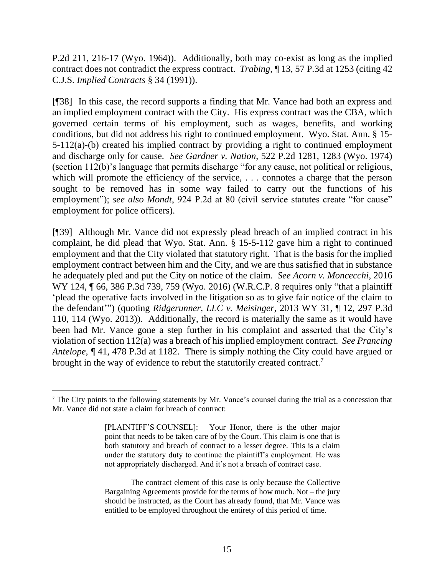[P.2d 211, 216-17](http://www.westlaw.com/Link/Document/FullText?findType=Y&serNum=1994032979&pubNum=661&originatingDoc=I8679b8ecf53b11d983e7e9deff98dc6f&refType=RP&fi=co_pp_sp_661_216&originationContext=document&vr=3.0&rs=cblt1.0&transitionType=DocumentItem&contextData=(sc.Search)#co_pp_sp_661_216) (Wyo. 1964)). Additionally, both may co-exist as long as the implied contract does not contradict the express contract. *Trabing*, ¶ 13, 57 P.3d at 1253 (citing [42](http://www.westlaw.com/Link/Document/FullText?findType=Y&serNum=0289602923&pubNum=0157142&originatingDoc=I8679b8ecf53b11d983e7e9deff98dc6f&refType=TS&originationContext=document&vr=3.0&rs=cblt1.0&transitionType=DocumentItem&contextData=(sc.Search))  C.J.S. *[Implied Contracts](http://www.westlaw.com/Link/Document/FullText?findType=Y&serNum=0289602923&pubNum=0157142&originatingDoc=I8679b8ecf53b11d983e7e9deff98dc6f&refType=TS&originationContext=document&vr=3.0&rs=cblt1.0&transitionType=DocumentItem&contextData=(sc.Search))* § 34 (1991)).

[¶38] In this case, the record supports a finding that Mr. Vance had both an express and an implied employment contract with the City. His express contract was the CBA, which governed certain terms of his employment, such as wages, benefits, and working conditions, but did not address his right to continued employment. Wyo. Stat. Ann. § 15- 5-112(a)-(b) created his implied contract by providing a right to continued employment and discharge only for cause. *See Gardner v. Nation*, 522 P.2d 1281, 1283 (Wyo. 1974) (section 112(b)'s language that permits discharge "for any cause, not political or religious, which will promote the efficiency of the service, ... connotes a charge that the person sought to be removed has in some way failed to carry out the functions of his employment"); *see also Mondt*, 924 P.2d at 80 (civil service statutes create "for cause" employment for police officers).

[¶39] Although Mr. Vance did not expressly plead breach of an implied contract in his complaint, he did plead that Wyo. Stat. Ann. § 15-5-112 gave him a right to continued employment and that the City violated that statutory right. That is the basis for the implied employment contract between him and the City, and we are thus satisfied that in substance he adequately pled and put the City on notice of the claim. *See Acorn v. Moncecchi*, 2016 WY 124, 166, 386 P.3d 739, 759 (Wyo. 2016) (W.R.C.P. 8 requires only "that a plaintiff 'plead the operative facts involved in the litigation so as to give fair notice of the claim to the defendant'") (quoting *[Ridgerunner, LLC v. Meisinger](http://www.westlaw.com/Link/Document/FullText?findType=Y&serNum=2030133756&pubNum=0004645&originatingDoc=I36ad4590c8e511e6972aa83e6c16e5f7&refType=RP&fi=co_pp_sp_4645_114&originationContext=document&vr=3.0&rs=cblt1.0&transitionType=DocumentItem&contextData=(sc.Keycite)#co_pp_sp_4645_114)*, 2013 WY 31, ¶ 12, 297 P.3d [110, 114 \(Wyo. 2013\)\)](http://www.westlaw.com/Link/Document/FullText?findType=Y&serNum=2030133756&pubNum=0004645&originatingDoc=I36ad4590c8e511e6972aa83e6c16e5f7&refType=RP&fi=co_pp_sp_4645_114&originationContext=document&vr=3.0&rs=cblt1.0&transitionType=DocumentItem&contextData=(sc.Keycite)#co_pp_sp_4645_114). Additionally, the record is materially the same as it would have been had Mr. Vance gone a step further in his complaint and asserted that the City's violation of section 112(a) was a breach of his implied employment contract. *See Prancing Antelope*, ¶ 41, 478 P.3d at 1182. There is simply nothing the City could have argued or brought in the way of evidence to rebut the statutorily created contract.<sup>7</sup>

<sup>&</sup>lt;sup>7</sup> The City points to the following statements by Mr. Vance's counsel during the trial as a concession that Mr. Vance did not state a claim for breach of contract:

<sup>[</sup>PLAINTIFF'S COUNSEL]: Your Honor, there is the other major point that needs to be taken care of by the Court. This claim is one that is both statutory and breach of contract to a lesser degree. This is a claim under the statutory duty to continue the plaintiff's employment. He was not appropriately discharged. And it's not a breach of contract case.

The contract element of this case is only because the Collective Bargaining Agreements provide for the terms of how much. Not – the jury should be instructed, as the Court has already found, that Mr. Vance was entitled to be employed throughout the entirety of this period of time.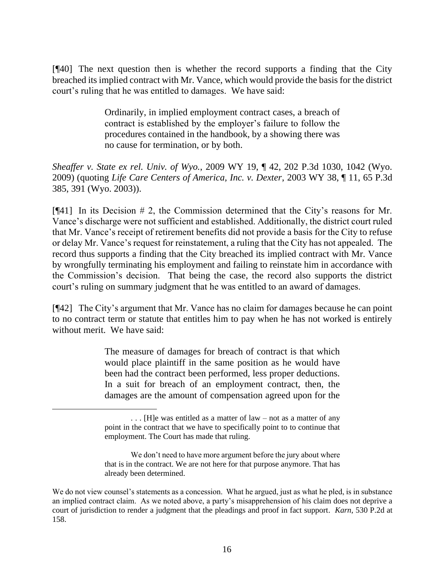[¶40] The next question then is whether the record supports a finding that the City breached its implied contract with Mr. Vance, which would provide the basis for the district court's ruling that he was entitled to damages. We have said:

> Ordinarily, in implied employment contract cases, a breach of contract is established by the employer's failure to follow the procedures contained in the handbook, by a showing there was no cause for termination, or by both.

*Sheaffer v. State ex rel. Univ. of Wyo.*, 2009 WY 19, ¶ 42, 202 P.3d 1030, 1042 (Wyo. 2009) (quoting *[Life Care Centers of America, Inc. v. Dexter](http://www.westlaw.com/Link/Document/FullText?findType=Y&serNum=2003219703&pubNum=0004645&originatingDoc=I6c8ca735fe0d11ddb77d9846f86fae5c&refType=RP&fi=co_pp_sp_4645_391&originationContext=document&vr=3.0&rs=cblt1.0&transitionType=DocumentItem&contextData=(sc.UserEnteredCitation)#co_pp_sp_4645_391)*, 2003 WY 38, ¶ 11, 65 P.3d [385, 391 \(Wyo.](http://www.westlaw.com/Link/Document/FullText?findType=Y&serNum=2003219703&pubNum=0004645&originatingDoc=I6c8ca735fe0d11ddb77d9846f86fae5c&refType=RP&fi=co_pp_sp_4645_391&originationContext=document&vr=3.0&rs=cblt1.0&transitionType=DocumentItem&contextData=(sc.UserEnteredCitation)#co_pp_sp_4645_391) 2003)).

[¶41] In its Decision # 2, the Commission determined that the City's reasons for Mr. Vance's discharge were not sufficient and established. Additionally, the district court ruled that Mr. Vance's receipt of retirement benefits did not provide a basis for the City to refuse or delay Mr. Vance's request for reinstatement, a ruling that the City has not appealed. The record thus supports a finding that the City breached its implied contract with Mr. Vance by wrongfully terminating his employment and failing to reinstate him in accordance with the Commission's decision. That being the case, the record also supports the district court's ruling on summary judgment that he was entitled to an award of damages.

[¶42] The City's argument that Mr. Vance has no claim for damages because he can point to no contract term or statute that entitles him to pay when he has not worked is entirely without merit. We have said:

> The measure of damages for breach of contract is that which would place plaintiff in the same position as he would have been had the contract been performed, less proper deductions. In a suit for breach of an employment contract, then, the damages are the amount of compensation agreed upon for the

<sup>. . . [</sup>H]e was entitled as a matter of law – not as a matter of any point in the contract that we have to specifically point to to continue that employment. The Court has made that ruling.

We don't need to have more argument before the jury about where that is in the contract. We are not here for that purpose anymore. That has already been determined.

We do not view counsel's statements as a concession. What he argued, just as what he pled, is in substance an implied contract claim. As we noted above, a party's misapprehension of his claim does not deprive a court of jurisdiction to render a judgment that the pleadings and proof in fact support. *Karn*, 530 P.2d at 158.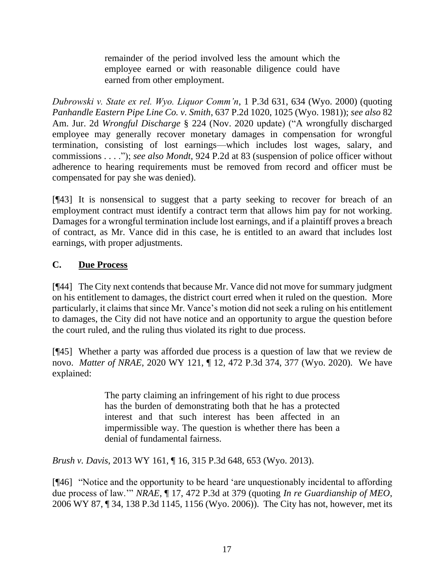remainder of the period involved less the amount which the employee earned or with reasonable diligence could have earned from other employment.

*Dubrowski v. State ex rel. Wyo. Liquor Comm'n*, 1 P.3d 631, 634 (Wyo. 2000) (quoting *[Panhandle Eastern Pipe Line Co. v. Smith](http://www.westlaw.com/Link/Document/FullText?findType=Y&serNum=1981152926&pubNum=0000661&originatingDoc=I04c2f097f55511d983e7e9deff98dc6f&refType=RP&fi=co_pp_sp_661_1025&originationContext=document&vr=3.0&rs=cblt1.0&transitionType=DocumentItem&contextData=(sc.Keycite)#co_pp_sp_661_1025)*, 637 P.2d 1020, 1025 (Wyo. 1981)); *see also* 82 Am. Jur. 2d *Wrongful Discharge* § 224 (Nov. 2020 update) ("A wrongfully discharged employee may generally recover monetary damages in compensation for wrongful termination, consisting of lost earnings—which includes lost wages, salary, and commissions . . . ."); *see also Mondt*, 924 P.2d at 83 (suspension of police officer without adherence to hearing requirements must be removed from record and officer must be compensated for pay she was denied).

[¶43] It is nonsensical to suggest that a party seeking to recover for breach of an employment contract must identify a contract term that allows him pay for not working. Damages for a wrongful termination include lost earnings, and if a plaintiff proves a breach of contract, as Mr. Vance did in this case, he is entitled to an award that includes lost earnings, with proper adjustments.

# **C. Due Process**

[¶44] The City next contends that because Mr. Vance did not move for summary judgment on his entitlement to damages, the district court erred when it ruled on the question. More particularly, it claims that since Mr. Vance's motion did not seek a ruling on his entitlement to damages, the City did not have notice and an opportunity to argue the question before the court ruled, and the ruling thus violated its right to due process.

[¶45] Whether a party was afforded due process is a question of law that we review de novo. *Matter of NRAE*, 2020 WY 121, ¶ 12, 472 P.3d 374, 377 (Wyo. 2020). We have explained:

> The party claiming an infringement of his right to due process has the burden of demonstrating both that he has a protected interest and that such interest has been affected in an impermissible way. The question is whether there has been a denial of fundamental fairness.

*Brush v. Davis*, 2013 WY 161, ¶ 16, 315 P.3d 648, 653 (Wyo. 2013).

[¶46] "Notice and the opportunity to be heard 'are unquestionably incidental to affording due process of law.'" *NRAE*, ¶ 17, 472 P.3d at 379 (quoting *[In re Guardianship of MEO](http://www.westlaw.com/Link/Document/FullText?findType=Y&serNum=2009582738&pubNum=0004645&originatingDoc=I851e2cd0f93d11eab28fd60ce3504331&refType=RP&fi=co_pp_sp_4645_1156&originationContext=document&vr=3.0&rs=cblt1.0&transitionType=DocumentItem&contextData=(sc.Keycite)#co_pp_sp_4645_1156)*, [2006 WY 87, ¶ 34, 138 P.3d 1145, 1156 \(Wyo. 2006\)\)](http://www.westlaw.com/Link/Document/FullText?findType=Y&serNum=2009582738&pubNum=0004645&originatingDoc=I851e2cd0f93d11eab28fd60ce3504331&refType=RP&fi=co_pp_sp_4645_1156&originationContext=document&vr=3.0&rs=cblt1.0&transitionType=DocumentItem&contextData=(sc.Keycite)#co_pp_sp_4645_1156). The City has not, however, met its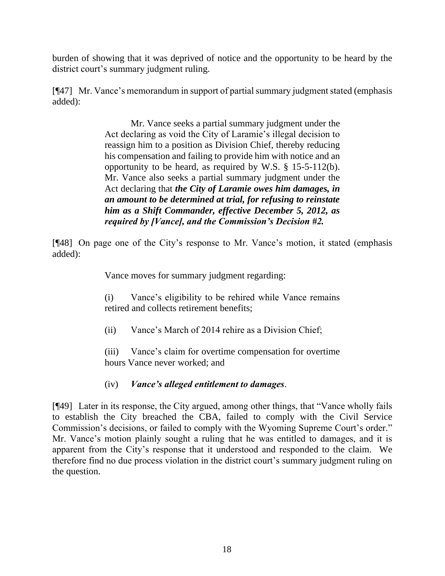burden of showing that it was deprived of notice and the opportunity to be heard by the district court's summary judgment ruling.

[¶47] Mr. Vance's memorandum in support of partial summary judgment stated (emphasis added):

> Mr. Vance seeks a partial summary judgment under the Act declaring as void the City of Laramie's illegal decision to reassign him to a position as Division Chief, thereby reducing his compensation and failing to provide him with notice and an opportunity to be heard, as required by W.S. § 15-5-112(b). Mr. Vance also seeks a partial summary judgment under the Act declaring that *the City of Laramie owes him damages, in an amount to be determined at trial, for refusing to reinstate him as a Shift Commander, effective December 5, 2012, as required by [Vance], and the Commission's Decision #2.*

[¶48] On page one of the City's response to Mr. Vance's motion, it stated (emphasis added):

Vance moves for summary judgment regarding:

(i) Vance's eligibility to be rehired while Vance remains retired and collects retirement benefits;

(ii) Vance's March of 2014 rehire as a Division Chief;

(iii) Vance's claim for overtime compensation for overtime hours Vance never worked; and

(iv) *Vance's alleged entitlement to damages*.

[¶49] Later in its response, the City argued, among other things, that "Vance wholly fails to establish the City breached the CBA, failed to comply with the Civil Service Commission's decisions, or failed to comply with the Wyoming Supreme Court's order." Mr. Vance's motion plainly sought a ruling that he was entitled to damages, and it is apparent from the City's response that it understood and responded to the claim. We therefore find no due process violation in the district court's summary judgment ruling on the question.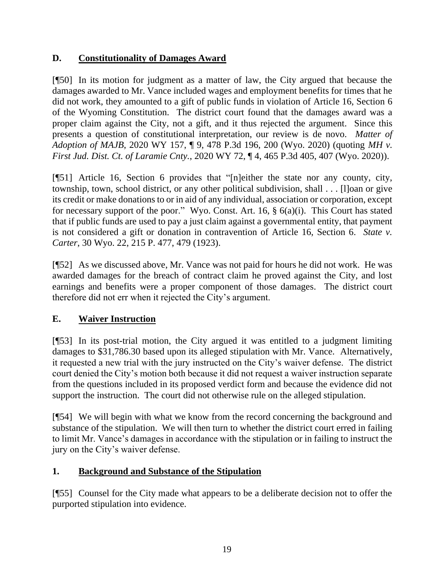# **D. Constitutionality of Damages Award**

[¶50] In its motion for judgment as a matter of law, the City argued that because the damages awarded to Mr. Vance included wages and employment benefits for times that he did not work, they amounted to a gift of public funds in violation of Article 16, Section 6 of the Wyoming Constitution. The district court found that the damages award was a proper claim against the City, not a gift, and it thus rejected the argument. Since this presents a question of constitutional interpretation, our review is de novo. *Matter of Adoption of MAJB*, 2020 WY 157, ¶ 9, 478 P.3d 196, 200 (Wyo. 2020) (quoting *[MH v.](http://www.westlaw.com/Link/Document/FullText?findType=Y&serNum=2051225944&pubNum=0004645&originatingDoc=Icd1a9240496411ebbe20d81a53907f9d&refType=RP&fi=co_pp_sp_4645_407&originationContext=document&vr=3.0&rs=cblt1.0&transitionType=DocumentItem&contextData=(sc.Search)#co_pp_sp_4645_407)  First Jud. Dist. Ct. of Laramie Cnty.*[, 2020 WY 72, ¶ 4, 465 P.3d 405, 407 \(Wyo. 2020\)\)](http://www.westlaw.com/Link/Document/FullText?findType=Y&serNum=2051225944&pubNum=0004645&originatingDoc=Icd1a9240496411ebbe20d81a53907f9d&refType=RP&fi=co_pp_sp_4645_407&originationContext=document&vr=3.0&rs=cblt1.0&transitionType=DocumentItem&contextData=(sc.Search)#co_pp_sp_4645_407).

[¶51] Article 16, Section 6 provides that "[n]either the state nor any county, city, township, town, school district, or any other political subdivision, shall . . . [l]oan or give its credit or make donations to or in aid of any individual, association or corporation, except for necessary support of the poor." Wyo. Const. Art. 16, § 6(a)(i). This Court has stated that if public funds are used to pay a just claim against a governmental entity, that payment is not considered a gift or donation in contravention of Article 16, Section 6. *State v. Carter*, 30 Wyo. 22, 215 P. 477, 479 (1923).

[¶52] As we discussed above, Mr. Vance was not paid for hours he did not work. He was awarded damages for the breach of contract claim he proved against the City, and lost earnings and benefits were a proper component of those damages. The district court therefore did not err when it rejected the City's argument.

# **E. Waiver Instruction**

[¶53] In its post-trial motion, the City argued it was entitled to a judgment limiting damages to \$31,786.30 based upon its alleged stipulation with Mr. Vance. Alternatively, it requested a new trial with the jury instructed on the City's waiver defense. The district court denied the City's motion both because it did not request a waiver instruction separate from the questions included in its proposed verdict form and because the evidence did not support the instruction. The court did not otherwise rule on the alleged stipulation.

[¶54] We will begin with what we know from the record concerning the background and substance of the stipulation. We will then turn to whether the district court erred in failing to limit Mr. Vance's damages in accordance with the stipulation or in failing to instruct the jury on the City's waiver defense.

# **1. Background and Substance of the Stipulation**

[¶55] Counsel for the City made what appears to be a deliberate decision not to offer the purported stipulation into evidence.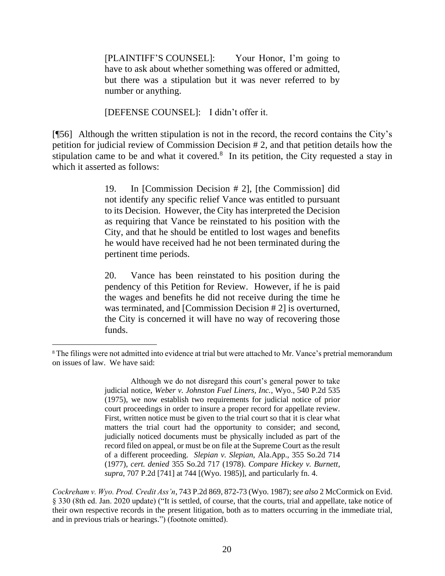[PLAINTIFF'S COUNSEL]: Your Honor, I'm going to have to ask about whether something was offered or admitted, but there was a stipulation but it was never referred to by number or anything.

[DEFENSE COUNSEL]: I didn't offer it.

[¶56] Although the written stipulation is not in the record, the record contains the City's petition for judicial review of Commission Decision # 2, and that petition details how the stipulation came to be and what it covered. $8$  In its petition, the City requested a stay in which it asserted as follows:

> 19. In [Commission Decision # 2], [the Commission] did not identify any specific relief Vance was entitled to pursuant to its Decision. However, the City has interpreted the Decision as requiring that Vance be reinstated to his position with the City, and that he should be entitled to lost wages and benefits he would have received had he not been terminated during the pertinent time periods.

> 20. Vance has been reinstated to his position during the pendency of this Petition for Review. However, if he is paid the wages and benefits he did not receive during the time he was terminated, and [Commission Decision # 2] is overturned, the City is concerned it will have no way of recovering those funds.

Although we do not disregard this court's general power to take judicial notice, *[Weber v. Johnston Fuel Liners, Inc.](http://www.westlaw.com/Link/Document/FullText?findType=Y&serNum=1975128204&pubNum=0000661&originatingDoc=I6d9a6272f5aa11d9b386b232635db992&refType=RP&originationContext=document&vr=3.0&rs=cblt1.0&transitionType=DocumentItem&contextData=(sc.UserEnteredCitation))*, Wyo., 540 P.2d 535 [\(1975\),](http://www.westlaw.com/Link/Document/FullText?findType=Y&serNum=1975128204&pubNum=0000661&originatingDoc=I6d9a6272f5aa11d9b386b232635db992&refType=RP&originationContext=document&vr=3.0&rs=cblt1.0&transitionType=DocumentItem&contextData=(sc.UserEnteredCitation)) we now establish two requirements for judicial notice of prior court proceedings in order to insure a proper record for appellate review. First, written notice must be given to the trial court so that it is clear what matters the trial court had the opportunity to consider; and second, judicially noticed documents must be physically included as part of the record filed on appeal, or must be on file at the Supreme Court as the result of a different proceeding. *Slepian v. Slepian*[, Ala.App., 355 So.2d 714](http://www.westlaw.com/Link/Document/FullText?findType=Y&serNum=1977141267&pubNum=735&originatingDoc=I6d9a6272f5aa11d9b386b232635db992&refType=RP&originationContext=document&vr=3.0&rs=cblt1.0&transitionType=DocumentItem&contextData=(sc.UserEnteredCitation))  [\(1977\),](http://www.westlaw.com/Link/Document/FullText?findType=Y&serNum=1977141267&pubNum=735&originatingDoc=I6d9a6272f5aa11d9b386b232635db992&refType=RP&originationContext=document&vr=3.0&rs=cblt1.0&transitionType=DocumentItem&contextData=(sc.UserEnteredCitation)) *cert. denied* [355 So.2d 717 \(1978\).](http://www.westlaw.com/Link/Document/FullText?findType=Y&serNum=1978142891&pubNum=0000735&originatingDoc=I6d9a6272f5aa11d9b386b232635db992&refType=RP&originationContext=document&vr=3.0&rs=cblt1.0&transitionType=DocumentItem&contextData=(sc.UserEnteredCitation)) *Compare [Hickey v. Burnett](http://www.westlaw.com/Link/Document/FullText?findType=Y&serNum=1985151670&pubNum=661&originatingDoc=I6d9a6272f5aa11d9b386b232635db992&refType=RP&fi=co_pp_sp_661_744&originationContext=document&vr=3.0&rs=cblt1.0&transitionType=DocumentItem&contextData=(sc.UserEnteredCitation)#co_pp_sp_661_744)*, *supra*[, 707 P.2d \[741\] at 744](http://www.westlaw.com/Link/Document/FullText?findType=Y&serNum=1985151670&pubNum=661&originatingDoc=I6d9a6272f5aa11d9b386b232635db992&refType=RP&fi=co_pp_sp_661_744&originationContext=document&vr=3.0&rs=cblt1.0&transitionType=DocumentItem&contextData=(sc.UserEnteredCitation)#co_pp_sp_661_744) [(Wyo. 1985)], and particularly fn. 4.

*Cockreham v. Wyo. Prod. Credit Ass'n*, 743 P.2d 869, 872-73 (Wyo. 1987); *see also* 2 McCormick on Evid. § 330 (8th ed. Jan. 2020 update) ("It is settled, of course, that the courts, trial and appellate, take notice of their own respective records in the present litigation, both as to matters occurring in the immediate trial, and in previous trials or hearings.") (footnote omitted).

<sup>8</sup> The filings were not admitted into evidence at trial but were attached to Mr. Vance's pretrial memorandum on issues of law. We have said: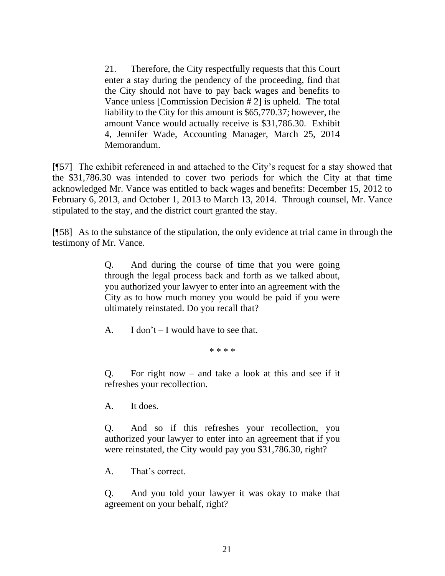21. Therefore, the City respectfully requests that this Court enter a stay during the pendency of the proceeding, find that the City should not have to pay back wages and benefits to Vance unless [Commission Decision # 2] is upheld. The total liability to the City for this amount is \$65,770.37; however, the amount Vance would actually receive is \$31,786.30. Exhibit 4, Jennifer Wade, Accounting Manager, March 25, 2014 Memorandum.

[¶57] The exhibit referenced in and attached to the City's request for a stay showed that the \$31,786.30 was intended to cover two periods for which the City at that time acknowledged Mr. Vance was entitled to back wages and benefits: December 15, 2012 to February 6, 2013, and October 1, 2013 to March 13, 2014. Through counsel, Mr. Vance stipulated to the stay, and the district court granted the stay.

[¶58] As to the substance of the stipulation, the only evidence at trial came in through the testimony of Mr. Vance.

> Q. And during the course of time that you were going through the legal process back and forth as we talked about, you authorized your lawyer to enter into an agreement with the City as to how much money you would be paid if you were ultimately reinstated. Do you recall that?

A. I don't  $-$  I would have to see that.

\* \* \* \*

Q. For right now – and take a look at this and see if it refreshes your recollection.

A. It does.

Q. And so if this refreshes your recollection, you authorized your lawyer to enter into an agreement that if you were reinstated, the City would pay you \$31,786.30, right?

A. That's correct.

Q. And you told your lawyer it was okay to make that agreement on your behalf, right?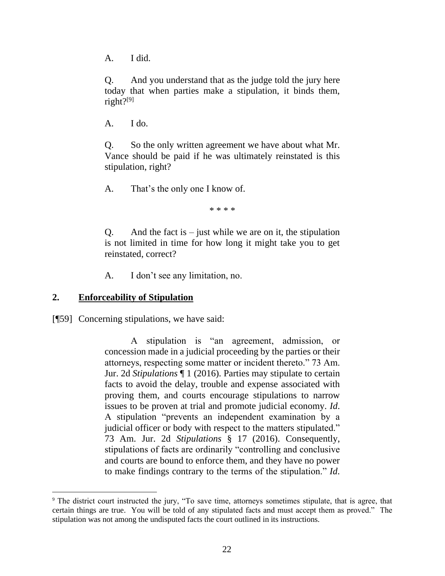A. I did.

Q. And you understand that as the judge told the jury here today that when parties make a stipulation, it binds them, right?[9]

A. I do.

Q. So the only written agreement we have about what Mr. Vance should be paid if he was ultimately reinstated is this stipulation, right?

A. That's the only one I know of.

\* \* \* \*

Q. And the fact is  $-$  just while we are on it, the stipulation is not limited in time for how long it might take you to get reinstated, correct?

A. I don't see any limitation, no.

#### **2. Enforceability of Stipulation**

[¶59] Concerning stipulations, we have said:

A stipulation is "an agreement, admission, or concession made in a judicial proceeding by the parties or their attorneys, respecting some matter or incident thereto." 73 Am. Jur. 2d *Stipulations* ¶ 1 (2016). Parties may stipulate to certain facts to avoid the delay, trouble and expense associated with proving them, and courts encourage stipulations to narrow issues to be proven at trial and promote judicial economy. *Id*. A stipulation "prevents an independent examination by a judicial officer or body with respect to the matters stipulated." [73 Am. Jur. 2d](http://www.westlaw.com/Link/Document/FullText?findType=Y&serNum=0281513675&pubNum=0113732&originatingDoc=I8e2843c0c20411e6afc8be5a5c08bae9&refType=TS&originationContext=document&vr=3.0&rs=cblt1.0&transitionType=DocumentItem&contextData=(sc.Search)) *Stipulations* § 17 (2016). Consequently, stipulations of facts are ordinarily "controlling and conclusive and courts are bound to enforce them, and they have no power to make findings contrary to the terms of the stipulation." *Id*.

<sup>9</sup> The district court instructed the jury, "To save time, attorneys sometimes stipulate, that is agree, that certain things are true. You will be told of any stipulated facts and must accept them as proved." The stipulation was not among the undisputed facts the court outlined in its instructions.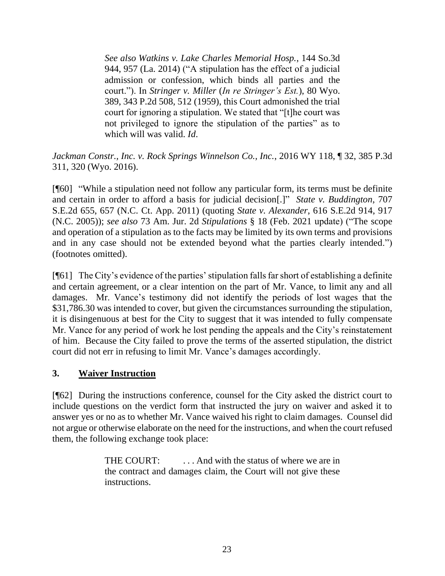*See also [Watkins v. Lake Charles Memorial Hosp.](http://www.westlaw.com/Link/Document/FullText?findType=Y&serNum=2032959652&pubNum=0003926&originatingDoc=I8e2843c0c20411e6afc8be5a5c08bae9&refType=RP&fi=co_pp_sp_3926_957&originationContext=document&vr=3.0&rs=cblt1.0&transitionType=DocumentItem&contextData=(sc.Search)#co_pp_sp_3926_957)*, 144 So.3d [944, 957 \(La. 2014\)](http://www.westlaw.com/Link/Document/FullText?findType=Y&serNum=2032959652&pubNum=0003926&originatingDoc=I8e2843c0c20411e6afc8be5a5c08bae9&refType=RP&fi=co_pp_sp_3926_957&originationContext=document&vr=3.0&rs=cblt1.0&transitionType=DocumentItem&contextData=(sc.Search)#co_pp_sp_3926_957) ("A stipulation has the effect of a judicial admission or confession, which binds all parties and the court."). In *Stringer v. Miller* (*[In re Stringer's Est.](http://www.westlaw.com/Link/Document/FullText?findType=Y&serNum=1959132258&pubNum=0000661&originatingDoc=I8e2843c0c20411e6afc8be5a5c08bae9&refType=RP&fi=co_pp_sp_661_512&originationContext=document&vr=3.0&rs=cblt1.0&transitionType=DocumentItem&contextData=(sc.Search)#co_pp_sp_661_512)*), 80 Wyo. [389, 343 P.2d 508, 512 \(1959\),](http://www.westlaw.com/Link/Document/FullText?findType=Y&serNum=1959132258&pubNum=0000661&originatingDoc=I8e2843c0c20411e6afc8be5a5c08bae9&refType=RP&fi=co_pp_sp_661_512&originationContext=document&vr=3.0&rs=cblt1.0&transitionType=DocumentItem&contextData=(sc.Search)#co_pp_sp_661_512) this Court admonished the trial court for ignoring a stipulation. We stated that "[t]he court was not privileged to ignore the stipulation of the parties" as to which will was valid. *[Id](http://www.westlaw.com/Link/Document/FullText?findType=Y&serNum=1959132258&pubNum=0000832&originatingDoc=I8e2843c0c20411e6afc8be5a5c08bae9&refType=RP&originationContext=document&vr=3.0&rs=cblt1.0&transitionType=DocumentItem&contextData=(sc.Search))*.

*Jackman Constr., Inc. v. Rock Springs Winnelson Co., Inc.*, 2016 WY 118, ¶ 32, 385 P.3d 311, 320 (Wyo. 2016).

[¶60] "While a stipulation need not follow any particular form, its terms must be definite and certain in order to afford a basis for judicial decision[.]" *State v. Buddington*, 707 S.E.2d 655, 657 (N.C. Ct. App. 2011) (quoting *State v. Alexander*[, 616 S.E.2d 914, 917](http://www.westlaw.com/Link/Document/FullText?findType=Y&serNum=2007166412&pubNum=0000711&originatingDoc=I3d87dd70440e11e0ac6aa914c1fd1d3f&refType=RP&fi=co_pp_sp_711_917&originationContext=document&vr=3.0&rs=cblt1.0&transitionType=DocumentItem&contextData=(sc.DocLink)#co_pp_sp_711_917)  [\(N.C. 2005\)\)](http://www.westlaw.com/Link/Document/FullText?findType=Y&serNum=2007166412&pubNum=0000711&originatingDoc=I3d87dd70440e11e0ac6aa914c1fd1d3f&refType=RP&fi=co_pp_sp_711_917&originationContext=document&vr=3.0&rs=cblt1.0&transitionType=DocumentItem&contextData=(sc.DocLink)#co_pp_sp_711_917); *see also* 73 Am. Jur. 2d *Stipulations* § 18 (Feb. 2021 update) ("The scope and operation of a stipulation as to the facts may be limited by its own terms and provisions and in any case should not be extended beyond what the parties clearly intended.") (footnotes omitted).

[¶61] The City's evidence of the parties' stipulation falls far short of establishing a definite and certain agreement, or a clear intention on the part of Mr. Vance, to limit any and all damages. Mr. Vance's testimony did not identify the periods of lost wages that the \$31,786.30 was intended to cover, but given the circumstances surrounding the stipulation, it is disingenuous at best for the City to suggest that it was intended to fully compensate Mr. Vance for any period of work he lost pending the appeals and the City's reinstatement of him. Because the City failed to prove the terms of the asserted stipulation, the district court did not err in refusing to limit Mr. Vance's damages accordingly.

#### **3. Waiver Instruction**

[¶62] During the instructions conference, counsel for the City asked the district court to include questions on the verdict form that instructed the jury on waiver and asked it to answer yes or no as to whether Mr. Vance waived his right to claim damages. Counsel did not argue or otherwise elaborate on the need for the instructions, and when the court refused them, the following exchange took place:

> THE COURT: ... And with the status of where we are in the contract and damages claim, the Court will not give these instructions.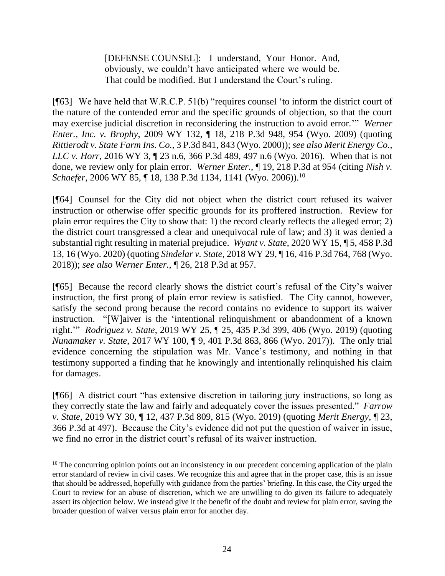[DEFENSE COUNSEL]: I understand, Your Honor. And, obviously, we couldn't have anticipated where we would be. That could be modified. But I understand the Court's ruling.

[¶63] We have held that W.R.C.P. 51(b) "requires counsel 'to inform the district court of the nature of the contended error and the specific grounds of objection, so that the court may exercise judicial discretion in reconsidering the instruction to avoid error.'" *Werner Enter., Inc. v. Brophy*, 2009 WY 132, ¶ 18, 218 P.3d 948, 954 (Wyo. 2009) (quoting *[Rittierodt v. State Farm Ins. Co.](http://www.westlaw.com/Link/Document/FullText?findType=Y&serNum=2000093200&pubNum=0004645&originatingDoc=I2655dd31c86f11deb08de1b7506ad85b&refType=RP&fi=co_pp_sp_4645_843&originationContext=document&vr=3.0&rs=cblt1.0&transitionType=DocumentItem&contextData=(sc.Search)#co_pp_sp_4645_843)*, 3 P.3d 841, 843 (Wyo. 2000)); *see also Merit Energy Co., LLC v. Horr*, 2016 WY 3, 1 23 n.6, 366 P.3d 489, 497 n.6 (Wyo. 2016). When that is not done, we review only for plain error. *Werner Enter.*, ¶ 19, 218 P.3d at 954 (citing *[Nish v.](http://www.westlaw.com/Link/Document/FullText?findType=Y&serNum=2009566966&pubNum=0004645&originatingDoc=I2655dd31c86f11deb08de1b7506ad85b&refType=RP&fi=co_pp_sp_4645_1141&originationContext=document&vr=3.0&rs=cblt1.0&transitionType=DocumentItem&contextData=(sc.Search)#co_pp_sp_4645_1141)  Schaefer*[, 2006 WY 85, ¶ 18, 138 P.3d 1134, 1141 \(Wyo.](http://www.westlaw.com/Link/Document/FullText?findType=Y&serNum=2009566966&pubNum=0004645&originatingDoc=I2655dd31c86f11deb08de1b7506ad85b&refType=RP&fi=co_pp_sp_4645_1141&originationContext=document&vr=3.0&rs=cblt1.0&transitionType=DocumentItem&contextData=(sc.Search)#co_pp_sp_4645_1141) 2006)).<sup>10</sup>

[¶64] Counsel for the City did not object when the district court refused its waiver instruction or otherwise offer specific grounds for its proffered instruction. Review for plain error requires the City to show that: 1) the record clearly reflects the alleged error; 2) the district court transgressed a clear and unequivocal rule of law; and 3) it was denied a substantial right resulting in material prejudice. *Wyant v. State*, 2020 WY 15, ¶ 5, 458 P.3d 13, 16 (Wyo. 2020) (quoting *Sindelar v. State*[, 2018 WY 29, ¶ 16, 416 P.3d 764, 768 \(Wyo.](http://www.westlaw.com/Link/Document/FullText?findType=Y&serNum=2044445108&pubNum=0004645&originatingDoc=Id9ea7d9047a911eaa21cb04c67e0c07f&refType=RP&fi=co_pp_sp_4645_768&originationContext=document&vr=3.0&rs=cblt1.0&transitionType=DocumentItem&contextData=(sc.Search)#co_pp_sp_4645_768)  [2018\)\)](http://www.westlaw.com/Link/Document/FullText?findType=Y&serNum=2044445108&pubNum=0004645&originatingDoc=Id9ea7d9047a911eaa21cb04c67e0c07f&refType=RP&fi=co_pp_sp_4645_768&originationContext=document&vr=3.0&rs=cblt1.0&transitionType=DocumentItem&contextData=(sc.Search)#co_pp_sp_4645_768); *see also Werner Enter.*, ¶ 26, 218 P.3d at 957.

[¶65] Because the record clearly shows the district court's refusal of the City's waiver instruction, the first prong of plain error review is satisfied. The City cannot, however, satisfy the second prong because the record contains no evidence to support its waiver instruction. "[W]aiver is the 'intentional relinquishment or abandonment of a known right.'" *Rodriguez v. State*, 2019 WY 25, ¶ 25, 435 P.3d 399, 406 (Wyo. 2019) (quoting *Nunamaker v. State*[, 2017 WY 100, ¶ 9, 401 P.3d 863, 866 \(Wyo. 2017\)\)](http://www.westlaw.com/Link/Document/FullText?findType=Y&serNum=2042498809&pubNum=0004645&originatingDoc=Ie4f3db003f9e11e9bb0cd983136a9739&refType=RP&fi=co_pp_sp_4645_866&originationContext=document&vr=3.0&rs=cblt1.0&transitionType=DocumentItem&contextData=(sc.Search)#co_pp_sp_4645_866). The only trial evidence concerning the stipulation was Mr. Vance's testimony, and nothing in that testimony supported a finding that he knowingly and intentionally relinquished his claim for damages.

[¶66] A district court "has extensive discretion in tailoring jury instructions, so long as they correctly state the law and fairly and adequately cover the issues presented." *Farrow v. State*, 2019 WY 30, ¶ 12, 437 P.3d 809, 815 (Wyo. 2019) (quoting *[Merit Energy](http://www.westlaw.com/Link/Document/FullText?findType=Y&serNum=2037945903&pubNum=0004645&originatingDoc=Ibc442ab04a9411e9bb0cd983136a9739&refType=RP&fi=co_pp_sp_4645_497&originationContext=document&vr=3.0&rs=cblt1.0&transitionType=DocumentItem&contextData=(sc.Search)#co_pp_sp_4645_497)*, ¶ 23, [366 P.3d at](http://www.westlaw.com/Link/Document/FullText?findType=Y&serNum=2037945903&pubNum=0004645&originatingDoc=Ibc442ab04a9411e9bb0cd983136a9739&refType=RP&fi=co_pp_sp_4645_497&originationContext=document&vr=3.0&rs=cblt1.0&transitionType=DocumentItem&contextData=(sc.Search)#co_pp_sp_4645_497) 497). Because the City's evidence did not put the question of waiver in issue, we find no error in the district court's refusal of its waiver instruction.

 $10$  The concurring opinion points out an inconsistency in our precedent concerning application of the plain error standard of review in civil cases. We recognize this and agree that in the proper case, this is an issue that should be addressed, hopefully with guidance from the parties' briefing. In this case, the City urged the Court to review for an abuse of discretion, which we are unwilling to do given its failure to adequately assert its objection below. We instead give it the benefit of the doubt and review for plain error, saving the broader question of waiver versus plain error for another day.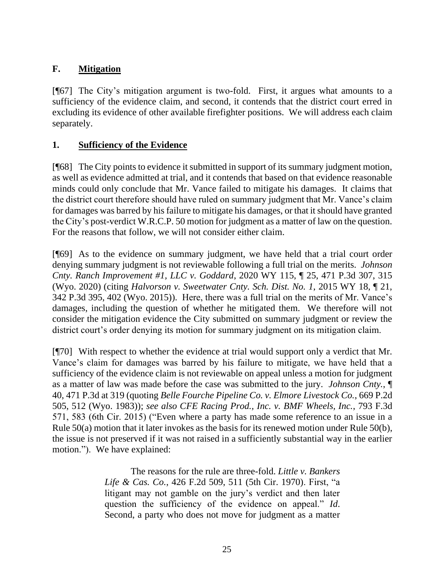# **F. Mitigation**

[¶67] The City's mitigation argument is two-fold. First, it argues what amounts to a sufficiency of the evidence claim, and second, it contends that the district court erred in excluding its evidence of other available firefighter positions. We will address each claim separately.

### **1. Sufficiency of the Evidence**

[¶68] The City points to evidence it submitted in support of its summary judgment motion, as well as evidence admitted at trial, and it contends that based on that evidence reasonable minds could only conclude that Mr. Vance failed to mitigate his damages. It claims that the district court therefore should have ruled on summary judgment that Mr. Vance's claim for damages was barred by his failure to mitigate his damages, or that it should have granted the City's post-verdict W.R.C.P. 50 motion for judgment as a matter of law on the question. For the reasons that follow, we will not consider either claim.

[¶69] As to the evidence on summary judgment, we have held that a trial court order denying summary judgment is not reviewable following a full trial on the merits. *Johnson Cnty. Ranch Improvement #1, LLC v. Goddard*, 2020 WY 115, ¶ 25, 471 P.3d 307, 315 (Wyo. 2020) (citing *[Halvorson v. Sweetwater Cnty. Sch. Dist. No. 1](http://www.westlaw.com/Link/Document/FullText?findType=Y&serNum=2035388559&pubNum=0004645&originatingDoc=I15bd1490ecaa11eaac1bf54738486b58&refType=RP&fi=co_pp_sp_4645_402&originationContext=document&vr=3.0&rs=cblt1.0&transitionType=DocumentItem&contextData=(sc.Search)#co_pp_sp_4645_402)*, 2015 WY 18, ¶ 21, [342 P.3d 395, 402 \(Wyo. 2015\)\)](http://www.westlaw.com/Link/Document/FullText?findType=Y&serNum=2035388559&pubNum=0004645&originatingDoc=I15bd1490ecaa11eaac1bf54738486b58&refType=RP&fi=co_pp_sp_4645_402&originationContext=document&vr=3.0&rs=cblt1.0&transitionType=DocumentItem&contextData=(sc.Search)#co_pp_sp_4645_402). Here, there was a full trial on the merits of Mr. Vance's damages, including the question of whether he mitigated them. We therefore will not consider the mitigation evidence the City submitted on summary judgment or review the district court's order denying its motion for summary judgment on its mitigation claim.

[¶70] With respect to whether the evidence at trial would support only a verdict that Mr. Vance's claim for damages was barred by his failure to mitigate, we have held that a sufficiency of the evidence claim is not reviewable on appeal unless a motion for judgment as a matter of law was made before the case was submitted to the jury. *Johnson Cnty.*, ¶ 40, 471 P.3d at 319 (quoting *[Belle Fourche Pipeline Co. v. Elmore Livestock Co.](http://www.westlaw.com/Link/Document/FullText?findType=Y&serNum=1983140754&pubNum=0000661&originatingDoc=I15bd1490ecaa11eaac1bf54738486b58&refType=RP&fi=co_pp_sp_661_512&originationContext=document&vr=3.0&rs=cblt1.0&transitionType=DocumentItem&contextData=(sc.Search)#co_pp_sp_661_512)*, 669 P.2d [505, 512 \(Wyo. 1983\)\)](http://www.westlaw.com/Link/Document/FullText?findType=Y&serNum=1983140754&pubNum=0000661&originatingDoc=I15bd1490ecaa11eaac1bf54738486b58&refType=RP&fi=co_pp_sp_661_512&originationContext=document&vr=3.0&rs=cblt1.0&transitionType=DocumentItem&contextData=(sc.Search)#co_pp_sp_661_512); *see also CFE Racing Prod., Inc. v. BMF Wheels, Inc.*, 793 F.3d 571, 583 (6th Cir. 2015) ("Even where a party has made some reference to an issue in a [Rule 50\(a\)](http://www.westlaw.com/Link/Document/FullText?findType=L&pubNum=1000600&cite=USFRCPR50&originatingDoc=Icb031a02296d11e590d4edf60ce7d742&refType=RB&originationContext=document&vr=3.0&rs=cblt1.0&transitionType=DocumentItem&contextData=(sc.DocLink)#co_pp_8b3b0000958a4) motion that it later invokes as the basis for its renewed motion under [Rule 50\(b\),](http://www.westlaw.com/Link/Document/FullText?findType=L&pubNum=1000600&cite=USFRCPR50&originatingDoc=Icb031a02296d11e590d4edf60ce7d742&refType=RB&originationContext=document&vr=3.0&rs=cblt1.0&transitionType=DocumentItem&contextData=(sc.DocLink)#co_pp_a83b000018c76) the issue is not preserved if it was not raised in a sufficiently substantial way in the earlier motion."). We have explained:

> The reasons for the rule are three-fold. *[Little v. Bankers](http://www.westlaw.com/Link/Document/FullText?findType=Y&serNum=1970118260&pubNum=0000350&originatingDoc=I15bd1490ecaa11eaac1bf54738486b58&refType=RP&fi=co_pp_sp_350_511&originationContext=document&vr=3.0&rs=cblt1.0&transitionType=DocumentItem&contextData=(sc.Search)#co_pp_sp_350_511)  Life & Cas. Co.*[, 426 F.2d 509, 511 \(5th Cir. 1970\).](http://www.westlaw.com/Link/Document/FullText?findType=Y&serNum=1970118260&pubNum=0000350&originatingDoc=I15bd1490ecaa11eaac1bf54738486b58&refType=RP&fi=co_pp_sp_350_511&originationContext=document&vr=3.0&rs=cblt1.0&transitionType=DocumentItem&contextData=(sc.Search)#co_pp_sp_350_511) First, "a litigant may not gamble on the jury's verdict and then later question the sufficiency of the evidence on appeal." *[Id](http://www.westlaw.com/Link/Document/FullText?findType=Y&serNum=1970118260&pubNum=0000350&originatingDoc=I15bd1490ecaa11eaac1bf54738486b58&refType=RP&originationContext=document&vr=3.0&rs=cblt1.0&transitionType=DocumentItem&contextData=(sc.Search))*. Second, a party who does not move for judgment as a matter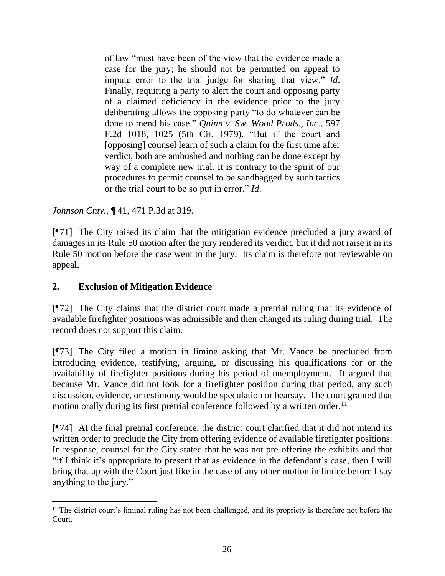of law "must have been of the view that the evidence made a case for the jury; he should not be permitted on appeal to impute error to the trial judge for sharing that view." *[Id](http://www.westlaw.com/Link/Document/FullText?findType=Y&serNum=1970118260&pubNum=0000350&originatingDoc=I15bd1490ecaa11eaac1bf54738486b58&refType=RP&originationContext=document&vr=3.0&rs=cblt1.0&transitionType=DocumentItem&contextData=(sc.Search))*. Finally, requiring a party to alert the court and opposing party of a claimed deficiency in the evidence prior to the jury deliberating allows the opposing party "to do whatever can be done to mend his case." *[Quinn v. Sw. Wood Prods., Inc.](http://www.westlaw.com/Link/Document/FullText?findType=Y&serNum=1979112832&pubNum=0000350&originatingDoc=I15bd1490ecaa11eaac1bf54738486b58&refType=RP&fi=co_pp_sp_350_1025&originationContext=document&vr=3.0&rs=cblt1.0&transitionType=DocumentItem&contextData=(sc.Search)#co_pp_sp_350_1025)*, 597 [F.2d 1018, 1025 \(5th Cir. 1979\).](http://www.westlaw.com/Link/Document/FullText?findType=Y&serNum=1979112832&pubNum=0000350&originatingDoc=I15bd1490ecaa11eaac1bf54738486b58&refType=RP&fi=co_pp_sp_350_1025&originationContext=document&vr=3.0&rs=cblt1.0&transitionType=DocumentItem&contextData=(sc.Search)#co_pp_sp_350_1025) "But if the court and [opposing] counsel learn of such a claim for the first time after verdict, both are ambushed and nothing can be done except by way of a complete new trial. It is contrary to the spirit of our procedures to permit counsel to be sandbagged by such tactics or the trial court to be so put in error." *[Id](http://www.westlaw.com/Link/Document/FullText?findType=Y&serNum=1979112832&pubNum=0000350&originatingDoc=I15bd1490ecaa11eaac1bf54738486b58&refType=RP&originationContext=document&vr=3.0&rs=cblt1.0&transitionType=DocumentItem&contextData=(sc.Search))*.

*Johnson Cnty.*, ¶ 41, 471 P.3d at 319.

[¶71] The City raised its claim that the mitigation evidence precluded a jury award of damages in its Rule 50 motion after the jury rendered its verdict, but it did not raise it in its Rule 50 motion before the case went to the jury. Its claim is therefore not reviewable on appeal.

#### **2. Exclusion of Mitigation Evidence**

[¶72] The City claims that the district court made a pretrial ruling that its evidence of available firefighter positions was admissible and then changed its ruling during trial. The record does not support this claim.

[¶73] The City filed a motion in limine asking that Mr. Vance be precluded from introducing evidence, testifying, arguing, or discussing his qualifications for or the availability of firefighter positions during his period of unemployment. It argued that because Mr. Vance did not look for a firefighter position during that period, any such discussion, evidence, or testimony would be speculation or hearsay. The court granted that motion orally during its first pretrial conference followed by a written order.<sup>11</sup>

[¶74] At the final pretrial conference, the district court clarified that it did not intend its written order to preclude the City from offering evidence of available firefighter positions. In response, counsel for the City stated that he was not pre-offering the exhibits and that "if I think it's appropriate to present that as evidence in the defendant's case, then I will bring that up with the Court just like in the case of any other motion in limine before I say anything to the jury."

<sup>&</sup>lt;sup>11</sup> The district court's liminal ruling has not been challenged, and its propriety is therefore not before the Court.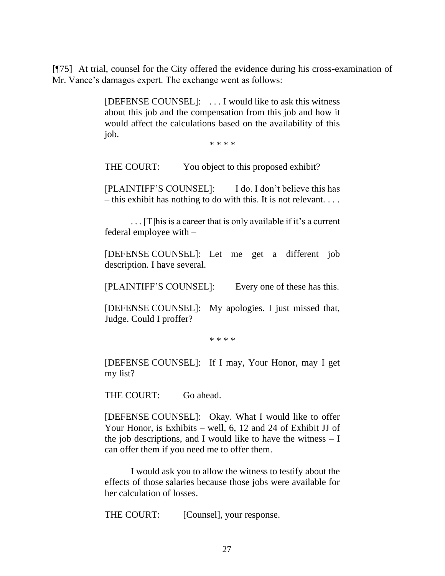[¶75] At trial, counsel for the City offered the evidence during his cross-examination of Mr. Vance's damages expert. The exchange went as follows:

> [DEFENSE COUNSEL]: . . . I would like to ask this witness about this job and the compensation from this job and how it would affect the calculations based on the availability of this job.

> > \* \* \* \*

THE COURT: You object to this proposed exhibit?

[PLAINTIFF'S COUNSEL]: I do. I don't believe this has – this exhibit has nothing to do with this. It is not relevant.  $\dots$ 

. . . [T]his is a career that is only available if it's a current federal employee with –

[DEFENSE COUNSEL]: Let me get a different job description. I have several.

[PLAINTIFF'S COUNSEL]: Every one of these has this.

[DEFENSE COUNSEL]: My apologies. I just missed that, Judge. Could I proffer?

\* \* \* \*

[DEFENSE COUNSEL]: If I may, Your Honor, may I get my list?

THE COURT: Go ahead.

[DEFENSE COUNSEL]: Okay. What I would like to offer Your Honor, is Exhibits – well, 6, 12 and 24 of Exhibit JJ of the job descriptions, and I would like to have the witness  $- I$ can offer them if you need me to offer them.

I would ask you to allow the witness to testify about the effects of those salaries because those jobs were available for her calculation of losses.

THE COURT: [Counsel], your response.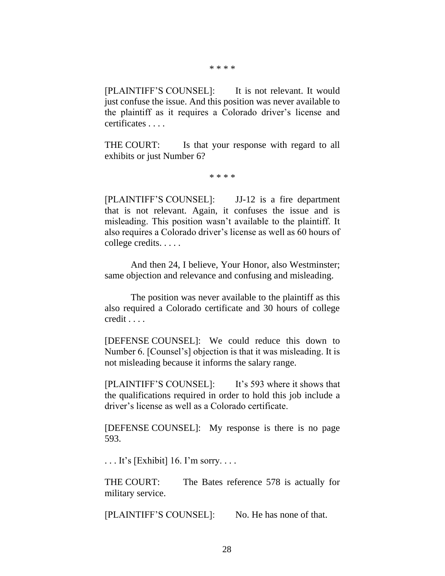[PLAINTIFF'S COUNSEL]: It is not relevant. It would just confuse the issue. And this position was never available to the plaintiff as it requires a Colorado driver's license and certificates . . . .

THE COURT: Is that your response with regard to all exhibits or just Number 6?

\* \* \* \*

[PLAINTIFF'S COUNSEL]: JJ-12 is a fire department that is not relevant. Again, it confuses the issue and is misleading. This position wasn't available to the plaintiff. It also requires a Colorado driver's license as well as 60 hours of college credits. . . . .

And then 24, I believe, Your Honor, also Westminster; same objection and relevance and confusing and misleading.

The position was never available to the plaintiff as this also required a Colorado certificate and 30 hours of college credit . . . .

[DEFENSE COUNSEL]: We could reduce this down to Number 6. [Counsel's] objection is that it was misleading. It is not misleading because it informs the salary range.

[PLAINTIFF'S COUNSEL]: It's 593 where it shows that the qualifications required in order to hold this job include a driver's license as well as a Colorado certificate.

[DEFENSE COUNSEL]: My response is there is no page 593.

 $\dots$  It's [Exhibit] 16. I'm sorry.  $\dots$ 

THE COURT: The Bates reference 578 is actually for military service.

[PLAINTIFF'S COUNSEL]: No. He has none of that.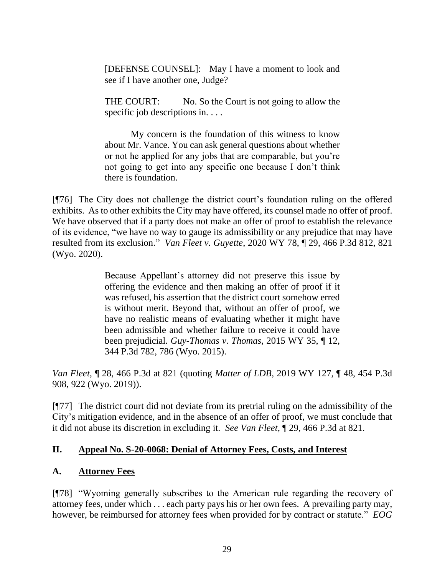[DEFENSE COUNSEL]: May I have a moment to look and see if I have another one, Judge?

THE COURT: No. So the Court is not going to allow the specific job descriptions in....

My concern is the foundation of this witness to know about Mr. Vance. You can ask general questions about whether or not he applied for any jobs that are comparable, but you're not going to get into any specific one because I don't think there is foundation.

[¶76] The City does not challenge the district court's foundation ruling on the offered exhibits. As to other exhibits the City may have offered, its counsel made no offer of proof. We have observed that if a party does not make an offer of proof to establish the relevance of its evidence, "we have no way to gauge its admissibility or any prejudice that may have resulted from its exclusion." *Van Fleet v. Guyette*, 2020 WY 78, ¶ 29, 466 P.3d 812, 821 (Wyo. 2020).

> Because Appellant's attorney did not preserve this issue by offering the evidence and then making an offer of proof if it was refused, his assertion that the district court somehow erred is without merit. Beyond that, without an offer of proof, we have no realistic means of evaluating whether it might have been admissible and whether failure to receive it could have been prejudicial. *[Guy-Thomas v. Thomas](http://www.westlaw.com/Link/Document/FullText?findType=Y&serNum=2035576478&pubNum=0004645&originatingDoc=I17ec26f0b27d11eabb6d82c9ad959d07&refType=RP&fi=co_pp_sp_4645_786&originationContext=document&vr=3.0&rs=cblt1.0&transitionType=DocumentItem&contextData=(sc.Search)#co_pp_sp_4645_786)*, 2015 WY 35, ¶ 12, [344 P.3d 782, 786 \(Wyo. 2015\).](http://www.westlaw.com/Link/Document/FullText?findType=Y&serNum=2035576478&pubNum=0004645&originatingDoc=I17ec26f0b27d11eabb6d82c9ad959d07&refType=RP&fi=co_pp_sp_4645_786&originationContext=document&vr=3.0&rs=cblt1.0&transitionType=DocumentItem&contextData=(sc.Search)#co_pp_sp_4645_786)

*Van Fleet*, ¶ 28, 466 P.3d at 821 (quoting *Matter of LDB*[, 2019 WY 127, ¶ 48, 454 P.3d](http://www.westlaw.com/Link/Document/FullText?findType=Y&serNum=2049870763&pubNum=0004645&originatingDoc=I17ec26f0b27d11eabb6d82c9ad959d07&refType=RP&fi=co_pp_sp_4645_922&originationContext=document&vr=3.0&rs=cblt1.0&transitionType=DocumentItem&contextData=(sc.Search)#co_pp_sp_4645_922)  [908, 922 \(Wyo. 2019\)\)](http://www.westlaw.com/Link/Document/FullText?findType=Y&serNum=2049870763&pubNum=0004645&originatingDoc=I17ec26f0b27d11eabb6d82c9ad959d07&refType=RP&fi=co_pp_sp_4645_922&originationContext=document&vr=3.0&rs=cblt1.0&transitionType=DocumentItem&contextData=(sc.Search)#co_pp_sp_4645_922).

[¶77] The district court did not deviate from its pretrial ruling on the admissibility of the City's mitigation evidence, and in the absence of an offer of proof, we must conclude that it did not abuse its discretion in excluding it. *See Van Fleet*, ¶ 29, 466 P.3d at 821.

#### **II. Appeal No. S-20-0068: Denial of Attorney Fees, Costs, and Interest**

#### **A. Attorney Fees**

[¶78] "Wyoming generally subscribes to the American rule regarding the recovery of attorney fees, under which . . . each party pays his or her own fees. A prevailing party may, however, be reimbursed for attorney fees when provided for by contract or statute." *EOG*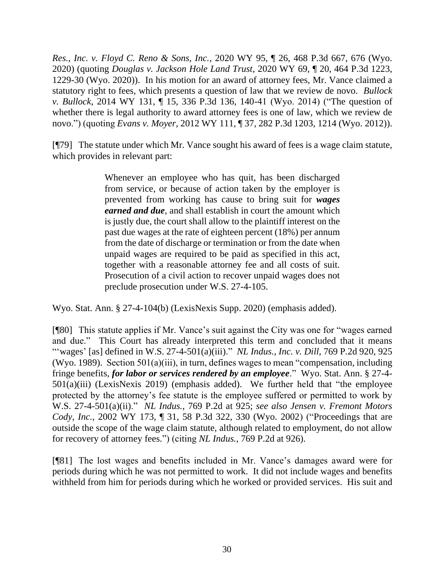*Res., Inc. v. Floyd C. Reno & Sons, Inc.*, 2020 WY 95, ¶ 26, 468 P.3d 667, 676 (Wyo. 2020) (quoting *Douglas v. Jackson Hole Land Trust*[, 2020 WY 69, ¶ 20, 464 P.3d 1223,](http://www.westlaw.com/Link/Document/FullText?findType=Y&serNum=2051204522&pubNum=0004645&originatingDoc=I584cd5e0cd3611eabc828196ec3e3eca&refType=RP&fi=co_pp_sp_4645_1229&originationContext=document&vr=3.0&rs=cblt1.0&transitionType=DocumentItem&contextData=(sc.Search)#co_pp_sp_4645_1229)  [1229-30 \(Wyo. 2020\)\)](http://www.westlaw.com/Link/Document/FullText?findType=Y&serNum=2051204522&pubNum=0004645&originatingDoc=I584cd5e0cd3611eabc828196ec3e3eca&refType=RP&fi=co_pp_sp_4645_1229&originationContext=document&vr=3.0&rs=cblt1.0&transitionType=DocumentItem&contextData=(sc.Search)#co_pp_sp_4645_1229). In his motion for an award of attorney fees, Mr. Vance claimed a statutory right to fees, which presents a question of law that we review de novo. *Bullock v. Bullock*, 2014 WY 131, ¶ 15, 336 P.3d 136, 140-41 (Wyo. 2014) ("The question of whether there is legal authority to award attorney fees is one of law, which we review de novo.") (quoting *Evans v. Moyer*[, 2012 WY 111, ¶ 37, 282 P.3d 1203, 1214 \(Wyo.](http://www.westlaw.com/Link/Document/FullText?findType=Y&serNum=2028412729&pubNum=0004645&originatingDoc=I2fe7a4985ae811e4b86bd602cb8781fa&refType=RP&fi=co_pp_sp_4645_1214&originationContext=document&vr=3.0&rs=cblt1.0&transitionType=DocumentItem&contextData=(sc.Keycite)#co_pp_sp_4645_1214) 2012)).

[¶79] The statute under which Mr. Vance sought his award of fees is a wage claim statute, which provides in relevant part:

> Whenever an employee who has quit, has been discharged from service, or because of action taken by the employer is prevented from working has cause to bring suit for *wages earned and due*, and shall establish in court the amount which is justly due, the court shall allow to the plaintiff interest on the past due wages at the rate of eighteen percent (18%) per annum from the date of discharge or termination or from the date when unpaid wages are required to be paid as specified in this act, together with a reasonable attorney fee and all costs of suit. Prosecution of a civil action to recover unpaid wages does not preclude prosecution under [W.S. 27-4-105.](http://www.westlaw.com/Link/Document/FullText?findType=L&pubNum=1000377&cite=WYSTS27-4-105&originatingDoc=N53607FD0729811EAB5A993E82E59B805&refType=LQ&originationContext=document&vr=3.0&rs=cblt1.0&transitionType=DocumentItem&contextData=(sc.UserEnteredCitation))

Wyo. Stat. Ann. § 27-4-104(b) (LexisNexis Supp. 2020) (emphasis added).

[¶80] This statute applies if Mr. Vance's suit against the City was one for "wages earned and due." This Court has already interpreted this term and concluded that it means "'wages' [as] defined in [W.S. 27-4-501\(a\)\(iii\).](http://www.westlaw.com/Link/Document/FullText?findType=L&pubNum=1000377&cite=WYSTS27-4-501&originatingDoc=I74f9fe49f53611d983e7e9deff98dc6f&refType=LQ&originationContext=document&vr=3.0&rs=cblt1.0&transitionType=DocumentItem&contextData=(sc.DocLink))" *NL Indus., Inc. v. Dill,* 769 P.2d 920, 925 (Wyo. 1989). Section 501(a)(iii), in turn, defines wages to mean "compensation, including fringe benefits, *for labor or services rendered by an employee*." Wyo. Stat. Ann. § 27-4- 501(a)(iii) (LexisNexis 2019) (emphasis added). We further held that "the employee protected by the attorney's fee statute is the employee suffered or permitted to work by [W.S. 27-4-501\(a\)\(ii\).](http://www.westlaw.com/Link/Document/FullText?findType=L&pubNum=1000377&cite=WYSTS27-4-501&originatingDoc=I74f9fe49f53611d983e7e9deff98dc6f&refType=LQ&originationContext=document&vr=3.0&rs=cblt1.0&transitionType=DocumentItem&contextData=(sc.DocLink))" *NL Indus.*, 769 P.2d at 925; *see also Jensen v. Fremont Motors Cody, Inc.*, 2002 WY 173, ¶ 31, 58 P.3d 322, 330 (Wyo. 2002) ("Proceedings that are outside the scope of the wage claim statute, although related to employment, do not allow for recovery of attorney fees.") (citing *NL Indus.*, 769 P.2d at 926).

[¶81] The lost wages and benefits included in Mr. Vance's damages award were for periods during which he was not permitted to work. It did not include wages and benefits withheld from him for periods during which he worked or provided services. His suit and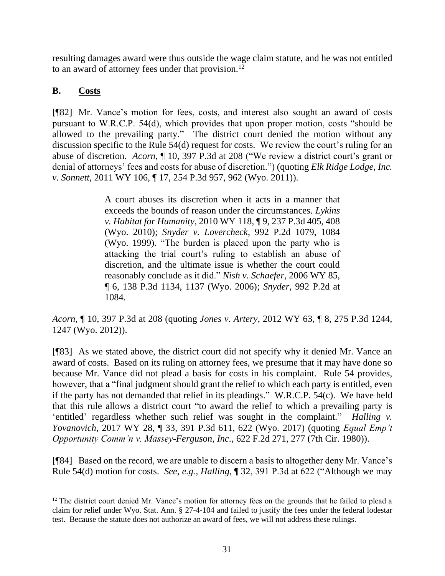resulting damages award were thus outside the wage claim statute, and he was not entitled to an award of attorney fees under that provision.<sup>12</sup>

#### **B. Costs**

[¶82] Mr. Vance's motion for fees, costs, and interest also sought an award of costs pursuant to W.R.C.P. 54(d), which provides that upon proper motion, costs "should be allowed to the prevailing party." The district court denied the motion without any discussion specific to the Rule 54(d) request for costs. We review the court's ruling for an abuse of discretion. *Acorn*, ¶ 10, 397 P.3d at 208 ("We review a district court's grant or denial of attorneys' fees and costs for abuse of discretion.") (quoting *[Elk Ridge Lodge, Inc.](http://www.westlaw.com/Link/Document/FullText?findType=Y&serNum=2025632516&pubNum=0004645&originatingDoc=Iccb23870636811e7a3f3a229dca6c9c6&refType=RP&fi=co_pp_sp_4645_962&originationContext=document&vr=3.0&rs=cblt1.0&transitionType=DocumentItem&contextData=(sc.Search)#co_pp_sp_4645_962)  v. Sonnett*[, 2011 WY 106, ¶ 17, 254 P.3d 957, 962 \(Wyo. 2011\)\)](http://www.westlaw.com/Link/Document/FullText?findType=Y&serNum=2025632516&pubNum=0004645&originatingDoc=Iccb23870636811e7a3f3a229dca6c9c6&refType=RP&fi=co_pp_sp_4645_962&originationContext=document&vr=3.0&rs=cblt1.0&transitionType=DocumentItem&contextData=(sc.Search)#co_pp_sp_4645_962).

> A court abuses its discretion when it acts in a manner that exceeds the bounds of reason under the circumstances. *[Lykins](http://www.westlaw.com/Link/Document/FullText?findType=Y&serNum=2022792136&pubNum=0004645&originatingDoc=Iccb23870636811e7a3f3a229dca6c9c6&refType=RP&fi=co_pp_sp_4645_408&originationContext=document&vr=3.0&rs=cblt1.0&transitionType=DocumentItem&contextData=(sc.Search)#co_pp_sp_4645_408)  v. Habitat for Humanity*[, 2010 WY 118, ¶ 9, 237 P.3d 405, 408](http://www.westlaw.com/Link/Document/FullText?findType=Y&serNum=2022792136&pubNum=0004645&originatingDoc=Iccb23870636811e7a3f3a229dca6c9c6&refType=RP&fi=co_pp_sp_4645_408&originationContext=document&vr=3.0&rs=cblt1.0&transitionType=DocumentItem&contextData=(sc.Search)#co_pp_sp_4645_408)  [\(Wyo. 2010\);](http://www.westlaw.com/Link/Document/FullText?findType=Y&serNum=2022792136&pubNum=0004645&originatingDoc=Iccb23870636811e7a3f3a229dca6c9c6&refType=RP&fi=co_pp_sp_4645_408&originationContext=document&vr=3.0&rs=cblt1.0&transitionType=DocumentItem&contextData=(sc.Search)#co_pp_sp_4645_408) *Snyder v. Lovercheck*[, 992 P.2d 1079, 1084](http://www.westlaw.com/Link/Document/FullText?findType=Y&serNum=1999272351&pubNum=0000661&originatingDoc=Iccb23870636811e7a3f3a229dca6c9c6&refType=RP&fi=co_pp_sp_661_1084&originationContext=document&vr=3.0&rs=cblt1.0&transitionType=DocumentItem&contextData=(sc.Search)#co_pp_sp_661_1084)  [\(Wyo. 1999\).](http://www.westlaw.com/Link/Document/FullText?findType=Y&serNum=1999272351&pubNum=0000661&originatingDoc=Iccb23870636811e7a3f3a229dca6c9c6&refType=RP&fi=co_pp_sp_661_1084&originationContext=document&vr=3.0&rs=cblt1.0&transitionType=DocumentItem&contextData=(sc.Search)#co_pp_sp_661_1084) "The burden is placed upon the party who is attacking the trial court's ruling to establish an abuse of discretion, and the ultimate issue is whether the court could reasonably conclude as it did." *[Nish v. Schaefer](http://www.westlaw.com/Link/Document/FullText?findType=Y&serNum=2009566966&pubNum=0004645&originatingDoc=Iccb23870636811e7a3f3a229dca6c9c6&refType=RP&fi=co_pp_sp_4645_1137&originationContext=document&vr=3.0&rs=cblt1.0&transitionType=DocumentItem&contextData=(sc.Search)#co_pp_sp_4645_1137)*, 2006 WY 85, [¶ 6, 138 P.3d 1134, 1137 \(Wyo. 2006\);](http://www.westlaw.com/Link/Document/FullText?findType=Y&serNum=2009566966&pubNum=0004645&originatingDoc=Iccb23870636811e7a3f3a229dca6c9c6&refType=RP&fi=co_pp_sp_4645_1137&originationContext=document&vr=3.0&rs=cblt1.0&transitionType=DocumentItem&contextData=(sc.Search)#co_pp_sp_4645_1137) *Snyder*[, 992 P.2d at](http://www.westlaw.com/Link/Document/FullText?findType=Y&serNum=1999272351&pubNum=0000661&originatingDoc=Iccb23870636811e7a3f3a229dca6c9c6&refType=RP&fi=co_pp_sp_661_1084&originationContext=document&vr=3.0&rs=cblt1.0&transitionType=DocumentItem&contextData=(sc.Search)#co_pp_sp_661_1084)  [1084.](http://www.westlaw.com/Link/Document/FullText?findType=Y&serNum=1999272351&pubNum=0000661&originatingDoc=Iccb23870636811e7a3f3a229dca6c9c6&refType=RP&fi=co_pp_sp_661_1084&originationContext=document&vr=3.0&rs=cblt1.0&transitionType=DocumentItem&contextData=(sc.Search)#co_pp_sp_661_1084)

*Acorn*, ¶ 10, 397 P.3d at 208 (quoting *Jones v. Artery*[, 2012 WY 63, ¶ 8, 275 P.3d 1244,](http://www.westlaw.com/Link/Document/FullText?findType=Y&serNum=2027602428&pubNum=0004645&originatingDoc=Iccb23870636811e7a3f3a229dca6c9c6&refType=RP&fi=co_pp_sp_4645_1247&originationContext=document&vr=3.0&rs=cblt1.0&transitionType=DocumentItem&contextData=(sc.Search)#co_pp_sp_4645_1247)  [1247 \(Wyo. 2012\)\)](http://www.westlaw.com/Link/Document/FullText?findType=Y&serNum=2027602428&pubNum=0004645&originatingDoc=Iccb23870636811e7a3f3a229dca6c9c6&refType=RP&fi=co_pp_sp_4645_1247&originationContext=document&vr=3.0&rs=cblt1.0&transitionType=DocumentItem&contextData=(sc.Search)#co_pp_sp_4645_1247).

[¶83] As we stated above, the district court did not specify why it denied Mr. Vance an award of costs. Based on its ruling on attorney fees, we presume that it may have done so because Mr. Vance did not plead a basis for costs in his complaint. Rule 54 provides, however, that a "final judgment should grant the relief to which each party is entitled, even if the party has not demanded that relief in its pleadings." W.R.C.P. 54(c). We have held that this rule allows a district court "to award the relief to which a prevailing party is 'entitled' regardless whether such relief was sought in the complaint." *Halling v. Yovanovich*, 2017 WY 28, ¶ 33, 391 P.3d 611, 622 (Wyo. 2017) (quoting *[Equal Emp't](http://www.westlaw.com/Link/Document/FullText?findType=Y&serNum=1980118230&pubNum=0000350&originatingDoc=I64d6f540056e11e781b2a67ea2e2f62b&refType=RP&fi=co_pp_sp_350_277&originationContext=document&vr=3.0&rs=cblt1.0&transitionType=DocumentItem&contextData=(sc.UserEnteredCitation)#co_pp_sp_350_277)  [Opportunity Comm'n v. Massey-Ferguson,](http://www.westlaw.com/Link/Document/FullText?findType=Y&serNum=1980118230&pubNum=0000350&originatingDoc=I64d6f540056e11e781b2a67ea2e2f62b&refType=RP&fi=co_pp_sp_350_277&originationContext=document&vr=3.0&rs=cblt1.0&transitionType=DocumentItem&contextData=(sc.UserEnteredCitation)#co_pp_sp_350_277) Inc.*, 622 F.2d 271, 277 (7th Cir. 1980)).

[¶84] Based on the record, we are unable to discern a basis to altogether deny Mr. Vance's Rule 54(d) motion for costs. *See, e.g.*, *Halling*, ¶ 32, 391 P.3d at 622 ("Although we may

<sup>&</sup>lt;sup>12</sup> The district court denied Mr. Vance's motion for attorney fees on the grounds that he failed to plead a claim for relief under Wyo. Stat. Ann. § 27-4-104 and failed to justify the fees under the federal lodestar test. Because the statute does not authorize an award of fees, we will not address these rulings.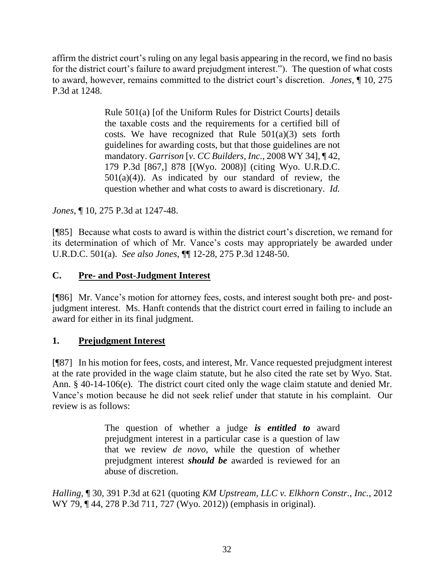affirm the district court's ruling on any legal basis appearing in the record, we find no basis for the district court's failure to award prejudgment interest."). The question of what costs to award, however, remains committed to the district court's discretion. *Jones*, ¶ 10, 275 P.3d at 1248.

> [Rule 501\(a\)](http://www.westlaw.com/Link/Document/FullText?findType=L&pubNum=1008769&cite=WYRUNIFDCTR501&originatingDoc=I271a470893b611e1b11ea85d0b248d27&refType=LQ&originationContext=document&vr=3.0&rs=cblt1.0&transitionType=DocumentItem&contextData=(sc.Search)) [\[of the Uniform Rules for District Courts\]](http://www.westlaw.com/Link/Document/FullText?findType=L&pubNum=1008769&cite=WYRUNIFDCTR501&originatingDoc=I271a470893b611e1b11ea85d0b248d27&refType=LQ&originationContext=document&vr=3.0&rs=cblt1.0&transitionType=DocumentItem&contextData=(sc.Search)) details the taxable costs and the requirements for a certified bill of costs. We have recognized that Rule  $501(a)(3)$  sets forth guidelines for awarding costs, but that those guidelines are not mandatory. *Garrison* [*v. CC Builders, Inc.*[, 2008 WY 34\], ¶ 42,](http://www.westlaw.com/Link/Document/FullText?findType=Y&serNum=2015586036&pubNum=0004645&originatingDoc=I271a470893b611e1b11ea85d0b248d27&refType=RP&fi=co_pp_sp_4645_878&originationContext=document&vr=3.0&rs=cblt1.0&transitionType=DocumentItem&contextData=(sc.Search)#co_pp_sp_4645_878)  [179 P.3d \[867,\]](http://www.westlaw.com/Link/Document/FullText?findType=Y&serNum=2015586036&pubNum=0004645&originatingDoc=I271a470893b611e1b11ea85d0b248d27&refType=RP&fi=co_pp_sp_4645_878&originationContext=document&vr=3.0&rs=cblt1.0&transitionType=DocumentItem&contextData=(sc.Search)#co_pp_sp_4645_878) 878 [(Wyo. 2008)] (citing Wyo. [U.R.D.C.](http://www.westlaw.com/Link/Document/FullText?findType=L&pubNum=1006377&cite=WYRUNIFDCTR501&originatingDoc=I271a470893b611e1b11ea85d0b248d27&refType=LQ&originationContext=document&vr=3.0&rs=cblt1.0&transitionType=DocumentItem&contextData=(sc.Search))   $501(a)(4)$ ). As indicated by our standard of review, the question whether and what costs to award is discretionary. *Id.*

*Jones*, ¶ 10, 275 P.3d at 1247-48.

[¶85] Because what costs to award is within the district court's discretion, we remand for its determination of which of Mr. Vance's costs may appropriately be awarded under U.R.D.C. 501(a). *See also Jones*, ¶¶ 12-28, 275 P.3d 1248-50.

### **C. Pre- and Post-Judgment Interest**

[¶86] Mr. Vance's motion for attorney fees, costs, and interest sought both pre- and postjudgment interest. Ms. Hanft contends that the district court erred in failing to include an award for either in its final judgment.

# **1. Prejudgment Interest**

[¶87] In his motion for fees, costs, and interest, Mr. Vance requested prejudgment interest at the rate provided in the wage claim statute, but he also cited the rate set by Wyo. Stat. Ann. § 40-14-106(e). The district court cited only the wage claim statute and denied Mr. Vance's motion because he did not seek relief under that statute in his complaint. Our review is as follows:

> The question of whether a judge *is entitled to* award prejudgment interest in a particular case is a question of law that we review *de novo*, while the question of whether prejudgment interest *should be* awarded is reviewed for an abuse of discretion.

*Halling*, ¶ 30, 391 P.3d at 621 (quoting *[KM Upstream, LLC v. Elkhorn Constr., Inc.](http://www.westlaw.com/Link/Document/FullText?findType=Y&serNum=2027848107&pubNum=0004645&originatingDoc=I64d6f540056e11e781b2a67ea2e2f62b&refType=RP&fi=co_pp_sp_4645_727&originationContext=document&vr=3.0&rs=cblt1.0&transitionType=DocumentItem&contextData=(sc.UserEnteredCitation)#co_pp_sp_4645_727)*, 2012 [WY 79, ¶ 44, 278 P.3d 711, 727 \(Wyo. 2012\)\)](http://www.westlaw.com/Link/Document/FullText?findType=Y&serNum=2027848107&pubNum=0004645&originatingDoc=I64d6f540056e11e781b2a67ea2e2f62b&refType=RP&fi=co_pp_sp_4645_727&originationContext=document&vr=3.0&rs=cblt1.0&transitionType=DocumentItem&contextData=(sc.UserEnteredCitation)#co_pp_sp_4645_727) (emphasis in original).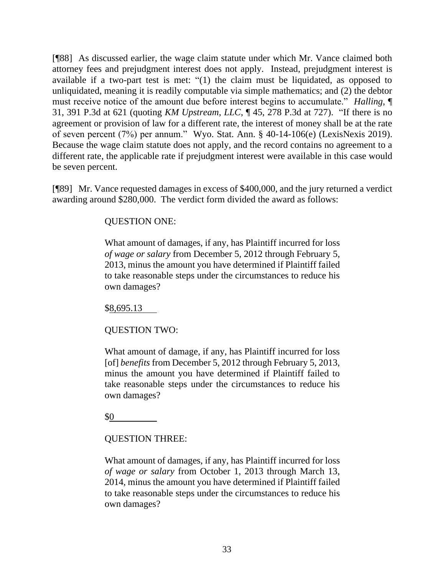[¶88] As discussed earlier, the wage claim statute under which Mr. Vance claimed both attorney fees and prejudgment interest does not apply. Instead, prejudgment interest is available if a two-part test is met: "(1) the claim must be liquidated, as opposed to unliquidated, meaning it is readily computable via simple mathematics; and (2) the debtor must receive notice of the amount due before interest begins to accumulate." *Halling*, ¶ 31, 391 P.3d at 621 (quoting *KM Upstream, LLC*[, ¶ 45, 278 P.3d at 727\)](http://www.westlaw.com/Link/Document/FullText?findType=Y&serNum=2027848107&pubNum=0004645&originatingDoc=I64d6f540056e11e781b2a67ea2e2f62b&refType=RP&fi=co_pp_sp_4645_727&originationContext=document&vr=3.0&rs=cblt1.0&transitionType=DocumentItem&contextData=(sc.UserEnteredCitation)#co_pp_sp_4645_727). "If there is no agreement or provision of law for a different rate, the interest of money shall be at the rate of seven percent (7%) per annum." [Wyo. Stat. Ann. § 40-14-106\(e\)](http://www.westlaw.com/Link/Document/FullText?findType=L&pubNum=1000377&cite=WYSTS40-14-106&originatingDoc=I64d6f540056e11e781b2a67ea2e2f62b&refType=SP&originationContext=document&vr=3.0&rs=cblt1.0&transitionType=DocumentItem&contextData=(sc.UserEnteredCitation)#co_pp_7fdd00001ca15) (LexisNexis 2019). Because the wage claim statute does not apply, and the record contains no agreement to a different rate, the applicable rate if prejudgment interest were available in this case would be seven percent.

[¶89] Mr. Vance requested damages in excess of \$400,000, and the jury returned a verdict awarding around \$280,000. The verdict form divided the award as follows:

QUESTION ONE:

What amount of damages, if any, has Plaintiff incurred for loss *of wage or salary* from December 5, 2012 through February 5, 2013, minus the amount you have determined if Plaintiff failed to take reasonable steps under the circumstances to reduce his own damages?

\$8,695.13

QUESTION TWO:

What amount of damage, if any, has Plaintiff incurred for loss [of] *benefits* from December 5, 2012 through February 5, 2013, minus the amount you have determined if Plaintiff failed to take reasonable steps under the circumstances to reduce his own damages?

\$0

# QUESTION THREE:

What amount of damages, if any, has Plaintiff incurred for loss *of wage or salary* from October 1, 2013 through March 13, 2014, minus the amount you have determined if Plaintiff failed to take reasonable steps under the circumstances to reduce his own damages?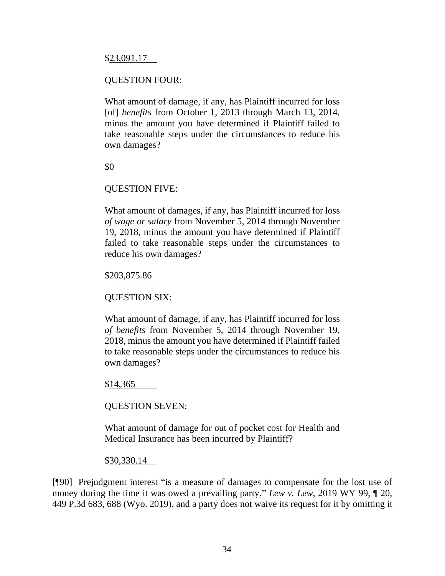\$23,091.17

#### QUESTION FOUR:

What amount of damage, if any, has Plaintiff incurred for loss [of] *benefits* from October 1, 2013 through March 13, 2014, minus the amount you have determined if Plaintiff failed to take reasonable steps under the circumstances to reduce his own damages?

\$0

#### QUESTION FIVE:

What amount of damages, if any, has Plaintiff incurred for loss *of wage or salary* from November 5, 2014 through November 19, 2018, minus the amount you have determined if Plaintiff failed to take reasonable steps under the circumstances to reduce his own damages?

#### \$203,875.86

QUESTION SIX:

What amount of damage, if any, has Plaintiff incurred for loss *of benefits* from November 5, 2014 through November 19, 2018, minus the amount you have determined if Plaintiff failed to take reasonable steps under the circumstances to reduce his own damages?

\$14,365

QUESTION SEVEN:

What amount of damage for out of pocket cost for Health and Medical Insurance has been incurred by Plaintiff?

#### \$30,330.14

[¶90] Prejudgment interest "is a measure of damages to compensate for the lost use of money during the time it was owed a prevailing party," *Lew v. Lew*, 2019 WY 99, ¶ 20, 449 P.3d 683, 688 (Wyo. 2019), and a party does not waive its request for it by omitting it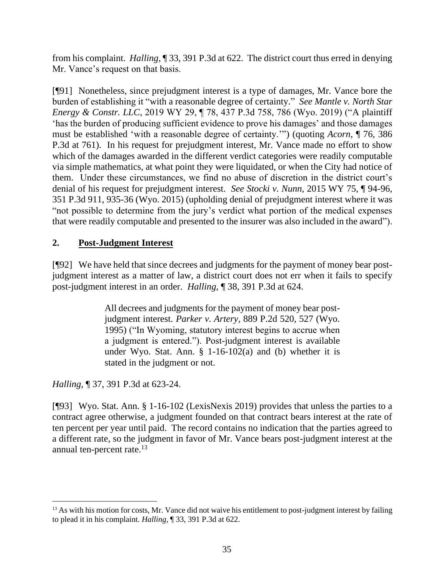from his complaint. *Halling*, ¶ 33, 391 P.3d at 622. The district court thus erred in denying Mr. Vance's request on that basis.

[¶91] Nonetheless, since prejudgment interest is a type of damages, Mr. Vance bore the burden of establishing it "with a reasonable degree of certainty." *See Mantle v. North Star Energy & Constr. LLC*, 2019 WY 29, ¶ 78, 437 P.3d 758, 786 (Wyo. 2019) ("A plaintiff 'has the burden of producing sufficient evidence to prove his damages' and those damages must be established 'with a reasonable degree of certainty.'") (quoting *Acorn*[, ¶ 76, 386](http://www.westlaw.com/Link/Document/FullText?findType=Y&serNum=2040571324&pubNum=0004645&originatingDoc=Iae9cf0c0452811e9bc469b767245e66a&refType=RP&fi=co_pp_sp_4645_761&originationContext=document&vr=3.0&rs=cblt1.0&transitionType=DocumentItem&contextData=(sc.Search)#co_pp_sp_4645_761)  [P.3d](http://www.westlaw.com/Link/Document/FullText?findType=Y&serNum=2040571324&pubNum=0004645&originatingDoc=Iae9cf0c0452811e9bc469b767245e66a&refType=RP&fi=co_pp_sp_4645_761&originationContext=document&vr=3.0&rs=cblt1.0&transitionType=DocumentItem&contextData=(sc.Search)#co_pp_sp_4645_761) at 761). In his request for prejudgment interest, Mr. Vance made no effort to show which of the damages awarded in the different verdict categories were readily computable via simple mathematics, at what point they were liquidated, or when the City had notice of them. Under these circumstances, we find no abuse of discretion in the district court's denial of his request for prejudgment interest. *See Stocki v. Nunn*, 2015 WY 75, ¶ 94-96, 351 P.3d 911, 935-36 (Wyo. 2015) (upholding denial of prejudgment interest where it was "not possible to determine from the jury's verdict what portion of the medical expenses that were readily computable and presented to the insurer was also included in the award").

# **2. Post-Judgment Interest**

[¶92] We have held that since decrees and judgments for the payment of money bear postjudgment interest as a matter of law, a district court does not err when it fails to specify post-judgment interest in an order. *Halling*, ¶ 38, 391 P.3d at 624.

> All decrees and judgments for the payment of money bear postjudgment interest. *Parker v. Artery*[, 889 P.2d 520, 527 \(Wyo.](http://www.westlaw.com/Link/Document/FullText?findType=Y&serNum=1995045163&pubNum=0000661&originatingDoc=I64d6f540056e11e781b2a67ea2e2f62b&refType=RP&fi=co_pp_sp_661_527&originationContext=document&vr=3.0&rs=cblt1.0&transitionType=DocumentItem&contextData=(sc.UserEnteredCitation)#co_pp_sp_661_527) [1995\)](http://www.westlaw.com/Link/Document/FullText?findType=Y&serNum=1995045163&pubNum=0000661&originatingDoc=I64d6f540056e11e781b2a67ea2e2f62b&refType=RP&fi=co_pp_sp_661_527&originationContext=document&vr=3.0&rs=cblt1.0&transitionType=DocumentItem&contextData=(sc.UserEnteredCitation)#co_pp_sp_661_527) ("In Wyoming, statutory interest begins to accrue when a judgment is entered."). Post-judgment interest is available under [Wyo. Stat. Ann. § 1-16-102\(a\)](http://www.westlaw.com/Link/Document/FullText?findType=L&pubNum=1000377&cite=WYSTS1-16-102&originatingDoc=I64d6f540056e11e781b2a67ea2e2f62b&refType=SP&originationContext=document&vr=3.0&rs=cblt1.0&transitionType=DocumentItem&contextData=(sc.UserEnteredCitation)#co_pp_8b3b0000958a4) and [\(b\)](http://www.westlaw.com/Link/Document/FullText?findType=L&pubNum=1000377&cite=WYSTS1-16-102&originatingDoc=I64d6f540056e11e781b2a67ea2e2f62b&refType=SP&originationContext=document&vr=3.0&rs=cblt1.0&transitionType=DocumentItem&contextData=(sc.UserEnteredCitation)#co_pp_a83b000018c76) whether it is stated in the judgment or not.

*Halling*, ¶ 37, 391 P.3d at 623-24.

[¶93] Wyo. Stat. Ann. § 1-16-102 (LexisNexis 2019) provides that unless the parties to a contract agree otherwise, a judgment founded on that contract bears interest at the rate of ten percent per year until paid. The record contains no indication that the parties agreed to a different rate, so the judgment in favor of Mr. Vance bears post-judgment interest at the annual ten-percent rate.<sup>13</sup>

<sup>&</sup>lt;sup>13</sup> As with his motion for costs, Mr. Vance did not waive his entitlement to post-judgment interest by failing to plead it in his complaint. *Halling*, ¶ 33, 391 P.3d at 622.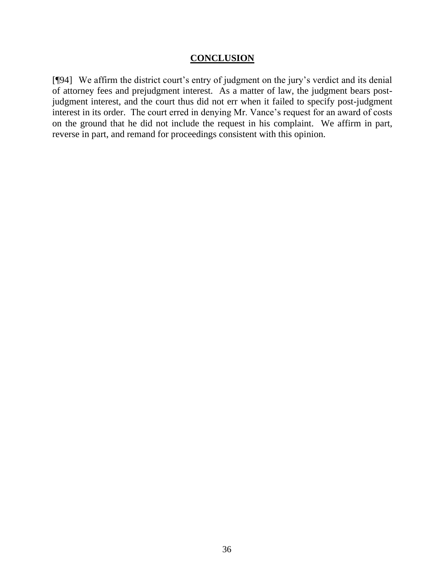#### **CONCLUSION**

[¶94] We affirm the district court's entry of judgment on the jury's verdict and its denial of attorney fees and prejudgment interest. As a matter of law, the judgment bears postjudgment interest, and the court thus did not err when it failed to specify post-judgment interest in its order. The court erred in denying Mr. Vance's request for an award of costs on the ground that he did not include the request in his complaint. We affirm in part, reverse in part, and remand for proceedings consistent with this opinion.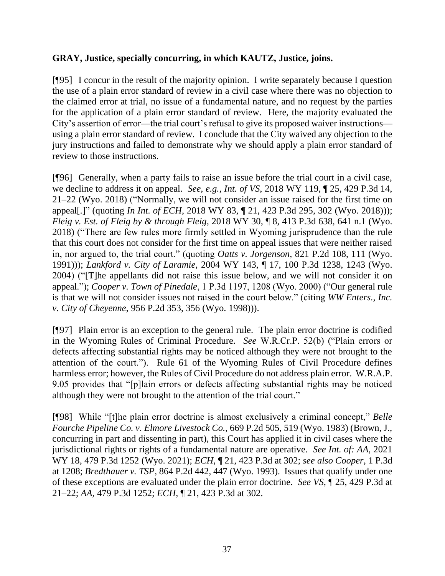#### **GRAY, Justice, specially concurring, in which KAUTZ, Justice, joins.**

[¶95] I concur in the result of the majority opinion. I write separately because I question the use of a plain error standard of review in a civil case where there was no objection to the claimed error at trial, no issue of a fundamental nature, and no request by the parties for the application of a plain error standard of review. Here, the majority evaluated the City's assertion of error—the trial court's refusal to give its proposed waiver instructions using a plain error standard of review. I conclude that the City waived any objection to the jury instructions and failed to demonstrate why we should apply a plain error standard of review to those instructions.

[¶96] Generally, when a party fails to raise an issue before the trial court in a civil case, we decline to address it on appeal. *See, e.g.*, *Int. of VS*, 2018 WY 119, ¶ 25, 429 P.3d 14, 21–22 (Wyo. 2018) ("Normally, we will not consider an issue raised for the first time on appeal[.]" (quoting *In Int. of ECH*, 2018 WY 83, ¶ 21, 423 P.3d 295, 302 (Wyo. 2018))); *Fleig v. Est. of Fleig by & through Fleig*, 2018 WY 30, ¶ 8, 413 P.3d 638, 641 n.1 (Wyo. 2018) ("There are few rules more firmly settled in Wyoming jurisprudence than the rule that this court does not consider for the first time on appeal issues that were neither raised in, nor argued to, the trial court." (quoting *Oatts v. Jorgenson*, 821 P.2d 108, 111 (Wyo. 1991))); *Lankford v. City of Laramie*, 2004 WY 143, ¶ 17, 100 P.3d 1238, 1243 (Wyo. 2004) ("[T]he appellants did not raise this issue below, and we will not consider it on appeal."); *Cooper v. Town of Pinedale*, 1 P.3d 1197, 1208 (Wyo. 2000) ("Our general rule is that we will not consider issues not raised in the court below." (citing *WW Enters., Inc. v. City of Cheyenne*, 956 P.2d 353, 356 (Wyo. 1998))).

[¶97] Plain error is an exception to the general rule. The plain error doctrine is codified in the Wyoming Rules of Criminal Procedure. *See* W.R.Cr.P. 52(b) ("Plain errors or defects affecting substantial rights may be noticed although they were not brought to the attention of the court."). Rule 61 of the Wyoming Rules of Civil Procedure defines harmless error; however, the Rules of Civil Procedure do not address plain error. W.R.A.P. 9.05 provides that "[p]lain errors or defects affecting substantial rights may be noticed although they were not brought to the attention of the trial court."

[¶98] While "[t]he plain error doctrine is almost exclusively a criminal concept," *Belle Fourche Pipeline Co. v. Elmore Livestock Co.*, 669 P.2d 505, 519 (Wyo. 1983) (Brown, J., concurring in part and dissenting in part), this Court has applied it in civil cases where the jurisdictional rights or rights of a fundamental nature are operative. *See Int. of: AA*, 2021 WY 18, 479 P.3d 1252 (Wyo. 2021); *ECH*, ¶ 21, 423 P.3d at 302; *see also Cooper*, 1 P.3d at 1208; *Bredthauer v. TSP*, 864 P.2d 442, 447 (Wyo. 1993). Issues that qualify under one of these exceptions are evaluated under the plain error doctrine. *See VS*, ¶ 25, 429 P.3d at 21–22; *AA*, 479 P.3d 1252; *ECH*, ¶ 21, 423 P.3d at 302.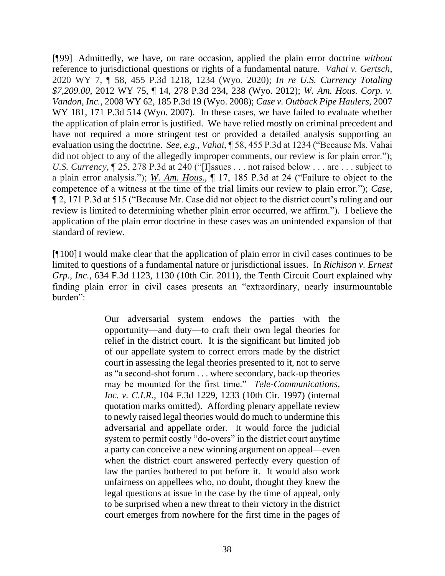[¶99] Admittedly, we have, on rare occasion, applied the plain error doctrine *without* reference to jurisdictional questions or rights of a fundamental nature. *Vahai v. Gertsch*, 2020 WY 7, ¶ 58, 455 P.3d 1218, 1234 (Wyo. 2020); *In re U.S. Currency Totaling \$7,209.00*, 2012 WY 75, ¶ 14, 278 P.3d 234, 238 (Wyo. 2012); *W. Am. Hous. Corp. v. Vandon, Inc.*, 2008 WY 62, 185 P.3d 19 (Wyo. 2008); *Case v. Outback Pipe Haulers*, 2007 WY 181, 171 P.3d 514 (Wyo. 2007). In these cases, we have failed to evaluate whether the application of plain error is justified. We have relied mostly on criminal precedent and have not required a more stringent test or provided a detailed analysis supporting an evaluation using the doctrine. *See, e.g.*, *Vahai*, ¶ 58, 455 P.3d at 1234 ("Because Ms. Vahai did not object to any of the allegedly improper comments, our review is for plain error."); *U.S. Currency*, ¶ 25, 278 P.3d at 240 ("[I]ssues . . . not raised below . . . are . . . subject to a plain error analysis."); *[W. Am. Hous.](https://1.next.westlaw.com/Document/I3a8531f4330a11ddb7e483ba170699a5/View/FullText.html?listSource=Search&navigationPath=Search%2fv1%2fresults%2fnavigation%2fi0ad6ad3d000001788383f8b7c2015c8a%3fppcid%3d4c19ab58aec44e2ca10016406e7c5bd5%26Nav%3dCASE%26fragmentIdentifier%3dI3a8531f4330a11ddb7e483ba170699a5%26parentRank%3d0%26startIndex%3d201%26contextData%3d%2528sc.Search%2529%26transitionType%3dSearchItem&list=CASE&rank=256&listPageSource=d76d9af34156278a424ec19167c91b66&originationContext=docHeader&contextData=(sc.Search)&transitionType=Document&needToInjectTerms=False&enableBestPortion=True&docSource=63297d911d614a0780c8fb8618276e07)*, ¶ 17, 185 P.3d at 24 ("Failure to object to the competence of a witness at the time of the trial limits our review to plain error."); *Case*, ¶ 2, 171 P.3d at 515 ("Because Mr. Case did not object to the district court's ruling and our review is limited to determining whether plain error occurred, we affirm."). I believe the application of the plain error doctrine in these cases was an unintended expansion of that standard of review.

[¶100]I would make clear that the application of plain error in civil cases continues to be limited to questions of a fundamental nature or jurisdictional issues. In *Richison v. Ernest Grp., Inc.*, 634 F.3d 1123, 1130 (10th Cir. 2011), the Tenth Circuit Court explained why finding plain error in civil cases presents an "extraordinary, nearly insurmountable burden":

> Our adversarial system endows the parties with the opportunity—and duty—to craft their own legal theories for relief in the district court. It is the significant but limited job of our appellate system to correct errors made by the district court in assessing the legal theories presented to it, not to serve as "a second-shot forum . . . where secondary, back-up theories may be mounted for the first time." *Tele-Communications, Inc. v. C.I.R.*, 104 F.3d 1229, 1233 (10th Cir. 1997) (internal quotation marks omitted). Affording plenary appellate review to newly raised legal theories would do much to undermine this adversarial and appellate order. It would force the judicial system to permit costly "do-overs" in the district court anytime a party can conceive a new winning argument on appeal—even when the district court answered perfectly every question of law the parties bothered to put before it. It would also work unfairness on appellees who, no doubt, thought they knew the legal questions at issue in the case by the time of appeal, only to be surprised when a new threat to their victory in the district court emerges from nowhere for the first time in the pages of